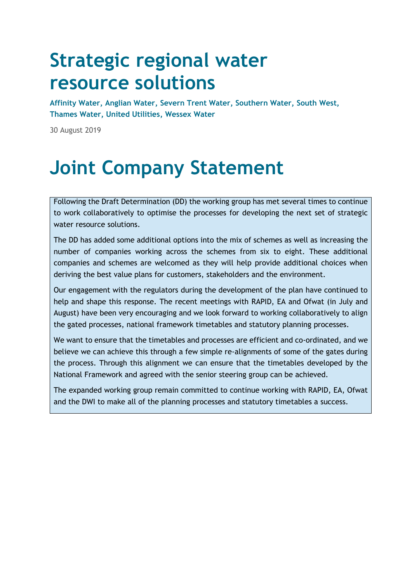# **Strategic regional water resource solutions**

**Affinity Water, Anglian Water, Severn Trent Water, Southern Water, South West, Thames Water, United Utilities, Wessex Water** 

30 August 2019

# **Joint Company Statement**

Following the Draft Determination (DD) the working group has met several times to continue to work collaboratively to optimise the processes for developing the next set of strategic water resource solutions.

The DD has added some additional options into the mix of schemes as well as increasing the number of companies working across the schemes from six to eight. These additional companies and schemes are welcomed as they will help provide additional choices when deriving the best value plans for customers, stakeholders and the environment.

Our engagement with the regulators during the development of the plan have continued to help and shape this response. The recent meetings with RAPID, EA and Ofwat (in July and August) have been very encouraging and we look forward to working collaboratively to align the gated processes, national framework timetables and statutory planning processes.

We want to ensure that the timetables and processes are efficient and co-ordinated, and we believe we can achieve this through a few simple re-alignments of some of the gates during the process. Through this alignment we can ensure that the timetables developed by the National Framework and agreed with the senior steering group can be achieved.

The expanded working group remain committed to continue working with RAPID, EA, Ofwat and the DWI to make all of the planning processes and statutory timetables a success.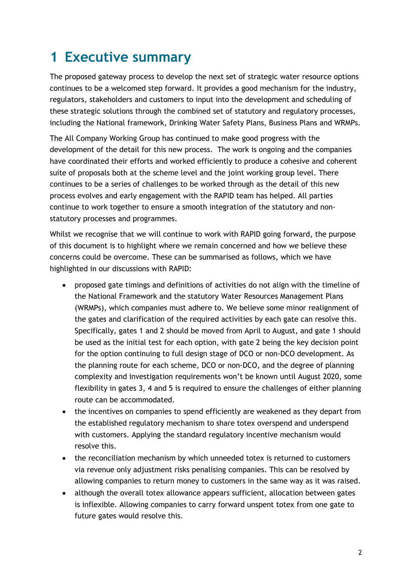### <span id="page-1-0"></span>**1 Executive summary**

The proposed gateway process to develop the next set of strategic water resource options continues to be a welcomed step forward. It provides a good mechanism for the industry, regulators, stakeholders and customers to input into the development and scheduling of these strategic solutions through the combined set of statutory and regulatory processes, including the National framework, Drinking Water Safety Plans, Business Plans and WRMPs.

The All Company Working Group has continued to make good progress with the development of the detail for this new process. The work is ongoing and the companies have coordinated their efforts and worked efficiently to produce a cohesive and coherent suite of proposals both at the scheme level and the joint working group level. There continues to be a series of challenges to be worked through as the detail of this new process evolves and early engagement with the RAPID team has helped. All parties continue to work together to ensure a smooth integration of the statutory and nonstatutory processes and programmes.

Whilst we recognise that we will continue to work with RAPID going forward, the purpose of this document is to highlight where we remain concerned and how we believe these concerns could be overcome. These can be summarised as follows, which we have highlighted in our discussions with RAPID:

- proposed gate timings and definitions of activities do not align with the timeline of the National Framework and the statutory Water Resources Management Plans (WRMPs), which companies must adhere to. We believe some minor realignment of the gates and clarification of the required activities by each gate can resolve this. Specifically, gates 1 and 2 should be moved from April to August, and gate 1 should be used as the initial test for each option, with gate 2 being the key decision point for the option continuing to full design stage of DCO or non-DCO development. As the planning route for each scheme, DCO or non-DCO, and the degree of planning complexity and investigation requirements won't be known until August 2020, some flexibility in gates 3, 4 and 5 is required to ensure the challenges of either planning route can be accommodated.
- the incentives on companies to spend efficiently are weakened as they depart from the established regulatory mechanism to share totex overspend and underspend with customers. Applying the standard regulatory incentive mechanism would resolve this.
- the reconciliation mechanism by which unneeded totex is returned to customers via revenue only adjustment risks penalising companies. This can be resolved by allowing companies to return money to customers in the same way as it was raised.
- although the overall totex allowance appears sufficient, allocation between gates is inflexible. Allowing companies to carry forward unspent totex from one gate to future gates would resolve this.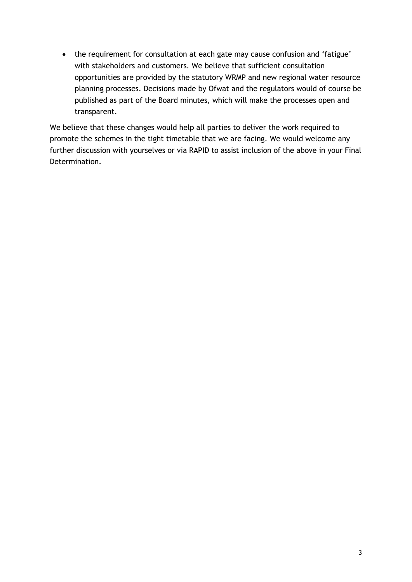• the requirement for consultation at each gate may cause confusion and 'fatigue' with stakeholders and customers. We believe that sufficient consultation opportunities are provided by the statutory WRMP and new regional water resource planning processes. Decisions made by Ofwat and the regulators would of course be published as part of the Board minutes, which will make the processes open and transparent.

We believe that these changes would help all parties to deliver the work required to promote the schemes in the tight timetable that we are facing. We would welcome any further discussion with yourselves or via RAPID to assist inclusion of the above in your Final Determination.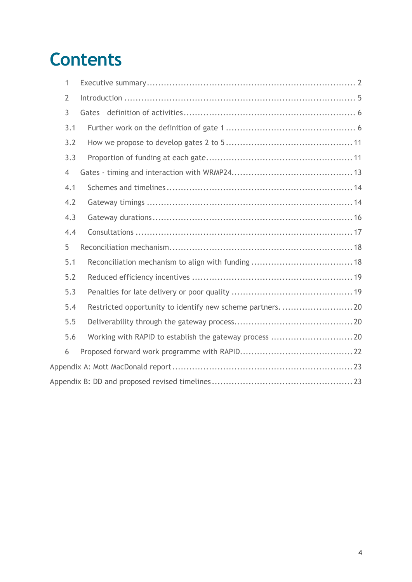# **Contents**

| $\mathbf{1}$   |                                                            |
|----------------|------------------------------------------------------------|
| $\overline{2}$ |                                                            |
| 3              |                                                            |
| 3.1            |                                                            |
| 3.2            |                                                            |
| 3.3            |                                                            |
| $\overline{4}$ |                                                            |
| 4.1            |                                                            |
| 4.2            |                                                            |
| 4.3            |                                                            |
| 4.4            |                                                            |
| 5              |                                                            |
| 5.1            |                                                            |
| 5.2            |                                                            |
| 5.3            |                                                            |
| 5.4            | Restricted opportunity to identify new scheme partners. 20 |
| 5.5            |                                                            |
| 5.6            |                                                            |
| 6              |                                                            |
|                |                                                            |
|                |                                                            |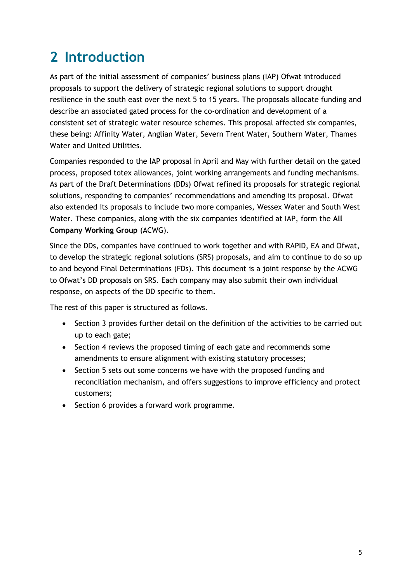### <span id="page-4-0"></span>**2 Introduction**

As part of the initial assessment of companies' business plans (IAP) Ofwat introduced proposals to support the delivery of strategic regional solutions to support drought resilience in the south east over the next 5 to 15 years. The proposals allocate funding and describe an associated gated process for the co-ordination and development of a consistent set of strategic water resource schemes. This proposal affected six companies, these being: Affinity Water, Anglian Water, Severn Trent Water, Southern Water, Thames Water and United Utilities.

Companies responded to the IAP proposal in April and May with further detail on the gated process, proposed totex allowances, joint working arrangements and funding mechanisms. As part of the Draft Determinations (DDs) Ofwat refined its proposals for strategic regional solutions, responding to companies' recommendations and amending its proposal. Ofwat also extended its proposals to include two more companies, Wessex Water and South West Water. These companies, along with the six companies identified at IAP, form the **All Company Working Group** (ACWG).

Since the DDs, companies have continued to work together and with RAPID, EA and Ofwat, to develop the strategic regional solutions (SRS) proposals, and aim to continue to do so up to and beyond Final Determinations (FDs). This document is a joint response by the ACWG to Ofwat's DD proposals on SRS. Each company may also submit their own individual response, on aspects of the DD specific to them.

The rest of this paper is structured as follows.

- Section 3 provides further detail on the definition of the activities to be carried out up to each gate;
- Section 4 reviews the proposed timing of each gate and recommends some amendments to ensure alignment with existing statutory processes;
- Section 5 sets out some concerns we have with the proposed funding and reconciliation mechanism, and offers suggestions to improve efficiency and protect customers;
- Section 6 provides a forward work programme.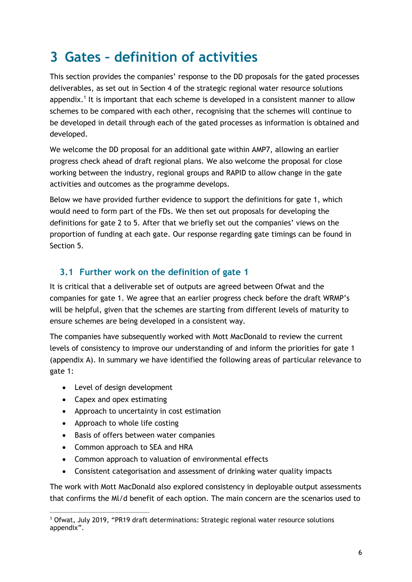### <span id="page-5-0"></span>**3 Gates – definition of activities**

This section provides the companies' response to the DD proposals for the gated processes deliverables, as set out in Section 4 of the strategic regional water resource solutions appendix.<sup>1</sup> It is important that each scheme is developed in a consistent manner to allow schemes to be compared with each other, recognising that the schemes will continue to be developed in detail through each of the gated processes as information is obtained and developed.

We welcome the DD proposal for an additional gate within AMP7, allowing an earlier progress check ahead of draft regional plans. We also welcome the proposal for close working between the industry, regional groups and RAPID to allow change in the gate activities and outcomes as the programme develops.

Below we have provided further evidence to support the definitions for gate 1, which would need to form part of the FDs. We then set out proposals for developing the definitions for gate 2 to 5. After that we briefly set out the companies' views on the proportion of funding at each gate. Our response regarding gate timings can be found in Section 5.

#### <span id="page-5-1"></span>**3.1 Further work on the definition of gate 1**

It is critical that a deliverable set of outputs are agreed between Ofwat and the companies for gate 1. We agree that an earlier progress check before the draft WRMP's will be helpful, given that the schemes are starting from different levels of maturity to ensure schemes are being developed in a consistent way.

The companies have subsequently worked with Mott MacDonald to review the current levels of consistency to improve our understanding of and inform the priorities for gate 1 (appendix A). In summary we have identified the following areas of particular relevance to gate 1:

- Level of design development
- Capex and opex estimating

 $\overline{a}$ 

- Approach to uncertainty in cost estimation
- Approach to whole life costing
- Basis of offers between water companies
- Common approach to SEA and HRA
- Common approach to valuation of environmental effects
- Consistent categorisation and assessment of drinking water quality impacts

The work with Mott MacDonald also explored consistency in deployable output assessments that confirms the Ml/d benefit of each option. The main concern are the scenarios used to

<sup>1</sup> Ofwat, July 2019, "PR19 draft determinations: Strategic regional water resource solutions appendix".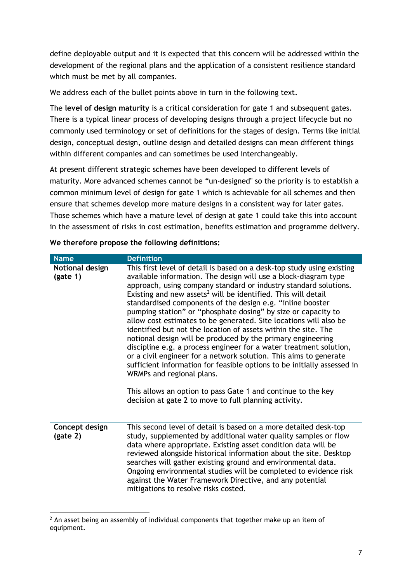define deployable output and it is expected that this concern will be addressed within the development of the regional plans and the application of a consistent resilience standard which must be met by all companies.

We address each of the bullet points above in turn in the following text.

The **level of design maturity** is a critical consideration for gate 1 and subsequent gates. There is a typical linear process of developing designs through a project lifecycle but no commonly used terminology or set of definitions for the stages of design. Terms like initial design, conceptual design, outline design and detailed designs can mean different things within different companies and can sometimes be used interchangeably.

At present different strategic schemes have been developed to different levels of maturity. More advanced schemes cannot be "un-designed" so the priority is to establish a common minimum level of design for gate 1 which is achievable for all schemes and then ensure that schemes develop more mature designs in a consistent way for later gates. Those schemes which have a mature level of design at gate 1 could take this into account in the assessment of risks in cost estimation, benefits estimation and programme delivery.

| <b>Name</b>                 | <b>Definition</b>                                                                                                                                                                                                                                                                                                                                                                                                                                                                                                                                                                                                                                                                                                                                                                                                                                                                                                                                                                                           |
|-----------------------------|-------------------------------------------------------------------------------------------------------------------------------------------------------------------------------------------------------------------------------------------------------------------------------------------------------------------------------------------------------------------------------------------------------------------------------------------------------------------------------------------------------------------------------------------------------------------------------------------------------------------------------------------------------------------------------------------------------------------------------------------------------------------------------------------------------------------------------------------------------------------------------------------------------------------------------------------------------------------------------------------------------------|
| Notional design<br>(gate 1) | This first level of detail is based on a desk-top study using existing<br>available information. The design will use a block-diagram type<br>approach, using company standard or industry standard solutions.<br>Existing and new assets <sup>2</sup> will be identified. This will detail<br>standardised components of the design e.g. "inline booster<br>pumping station" or "phosphate dosing" by size or capacity to<br>allow cost estimates to be generated. Site locations will also be<br>identified but not the location of assets within the site. The<br>notional design will be produced by the primary engineering<br>discipline e.g. a process engineer for a water treatment solution,<br>or a civil engineer for a network solution. This aims to generate<br>sufficient information for feasible options to be initially assessed in<br>WRMPs and regional plans.<br>This allows an option to pass Gate 1 and continue to the key<br>decision at gate 2 to move to full planning activity. |
| Concept design<br>(gate 2)  | This second level of detail is based on a more detailed desk-top<br>study, supplemented by additional water quality samples or flow<br>data where appropriate. Existing asset condition data will be<br>reviewed alongside historical information about the site. Desktop<br>searches will gather existing ground and environmental data.<br>Ongoing environmental studies will be completed to evidence risk<br>against the Water Framework Directive, and any potential<br>mitigations to resolve risks costed.                                                                                                                                                                                                                                                                                                                                                                                                                                                                                           |

**We therefore propose the following definitions:** 

 $\overline{a}$ 

 $2$  An asset being an assembly of individual components that together make up an item of equipment.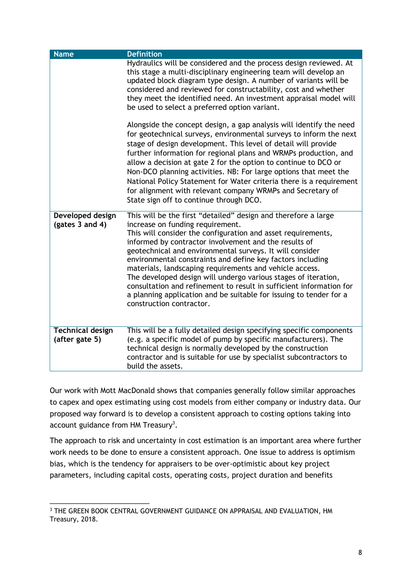| <b>Name</b>                               | <b>Definition</b>                                                                                                                                                                                                                                                                                                                                                                                                                                                                                                                                                                                                                                           |
|-------------------------------------------|-------------------------------------------------------------------------------------------------------------------------------------------------------------------------------------------------------------------------------------------------------------------------------------------------------------------------------------------------------------------------------------------------------------------------------------------------------------------------------------------------------------------------------------------------------------------------------------------------------------------------------------------------------------|
|                                           | Hydraulics will be considered and the process design reviewed. At<br>this stage a multi-disciplinary engineering team will develop an<br>updated block diagram type design. A number of variants will be<br>considered and reviewed for constructability, cost and whether<br>they meet the identified need. An investment appraisal model will<br>be used to select a preferred option variant.                                                                                                                                                                                                                                                            |
|                                           | Alongside the concept design, a gap analysis will identify the need<br>for geotechnical surveys, environmental surveys to inform the next<br>stage of design development. This level of detail will provide<br>further information for regional plans and WRMPs production, and<br>allow a decision at gate 2 for the option to continue to DCO or<br>Non-DCO planning activities. NB: For large options that meet the<br>National Policy Statement for Water criteria there is a requirement<br>for alignment with relevant company WRMPs and Secretary of<br>State sign off to continue through DCO.                                                      |
| Developed design<br>(gates 3 and 4)       | This will be the first "detailed" design and therefore a large<br>increase on funding requirement.<br>This will consider the configuration and asset requirements,<br>informed by contractor involvement and the results of<br>geotechnical and environmental surveys. It will consider<br>environmental constraints and define key factors including<br>materials, landscaping requirements and vehicle access.<br>The developed design will undergo various stages of iteration,<br>consultation and refinement to result in sufficient information for<br>a planning application and be suitable for issuing to tender for a<br>construction contractor. |
| <b>Technical design</b><br>(after gate 5) | This will be a fully detailed design specifying specific components<br>(e.g. a specific model of pump by specific manufacturers). The<br>technical design is normally developed by the construction<br>contractor and is suitable for use by specialist subcontractors to<br>build the assets.                                                                                                                                                                                                                                                                                                                                                              |

Our work with Mott MacDonald shows that companies generally follow similar approaches to capex and opex estimating using cost models from either company or industry data. Our proposed way forward is to develop a consistent approach to costing options taking into account guidance from HM Treasury<sup>3</sup>.

The approach to risk and uncertainty in cost estimation is an important area where further work needs to be done to ensure a consistent approach. One issue to address is optimism bias, which is the tendency for appraisers to be over-optimistic about key project parameters, including capital costs, operating costs, project duration and benefits

 $\overline{a}$ 

<sup>&</sup>lt;sup>3</sup> THE GREEN BOOK CENTRAL GOVERNMENT GUIDANCE ON APPRAISAL AND EVALUATION, HM Treasury, 2018.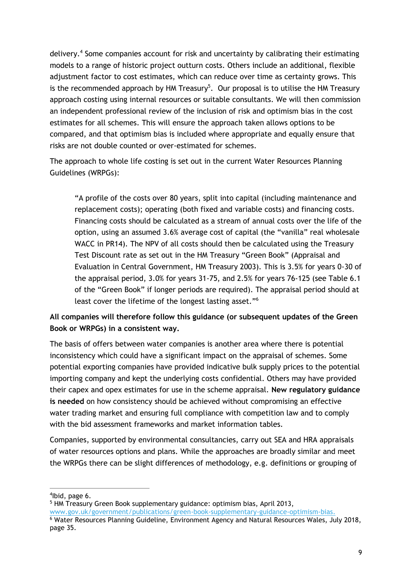delivery.<sup>4</sup> Some companies account for risk and uncertainty by calibrating their estimating models to a range of historic project outturn costs. Others include an additional, flexible adjustment factor to cost estimates, which can reduce over time as certainty grows. This is the recommended approach by HM Treasury<sup>5</sup>. Our proposal is to utilise the HM Treasury approach costing using internal resources or suitable consultants. We will then commission an independent professional review of the inclusion of risk and optimism bias in the cost estimates for all schemes. This will ensure the approach taken allows options to be compared, and that optimism bias is included where appropriate and equally ensure that risks are not double counted or over-estimated for schemes.

The approach to whole life costing is set out in the current Water Resources Planning Guidelines (WRPGs):

"A profile of the costs over 80 years, split into capital (including maintenance and replacement costs); operating (both fixed and variable costs) and financing costs. Financing costs should be calculated as a stream of annual costs over the life of the option, using an assumed 3.6% average cost of capital (the "vanilla" real wholesale WACC in PR14). The NPV of all costs should then be calculated using the Treasury Test Discount rate as set out in the HM Treasury "Green Book" (Appraisal and Evaluation in Central Government, HM Treasury 2003). This is 3.5% for years 0-30 of the appraisal period, 3.0% for years 31-75, and 2.5% for years 76-125 (see Table 6.1 of the "Green Book" if longer periods are required). The appraisal period should at least cover the lifetime of the longest lasting asset." 6

#### **All companies will therefore follow this guidance (or subsequent updates of the Green Book or WRPGs) in a consistent way.**

The basis of offers between water companies is another area where there is potential inconsistency which could have a significant impact on the appraisal of schemes. Some potential exporting companies have provided indicative bulk supply prices to the potential importing company and kept the underlying costs confidential. Others may have provided their capex and opex estimates for use in the scheme appraisal. **New regulatory guidance is needed** on how consistency should be achieved without compromising an effective water trading market and ensuring full compliance with competition law and to comply with the bid assessment frameworks and market information tables.

Companies, supported by environmental consultancies, carry out SEA and HRA appraisals of water resources options and plans. While the approaches are broadly similar and meet the WRPGs there can be slight differences of methodology, e.g. definitions or grouping of

 $\overline{a}$ 

<sup>5</sup> HM Treasury Green Book supplementary guidance: optimism bias, April 2013, [www.gov.uk/government/publications/green-book-supplementary-guidance-optimism-bias.](http://www.gov.uk/government/publications/green-book-supplementary-guidance-optimism-bias) <sup>6</sup> Water Resources Planning Guideline, Environment Agency and Natural Resources Wales, July 2018, page 35.

<sup>4</sup> Ibid, page 6.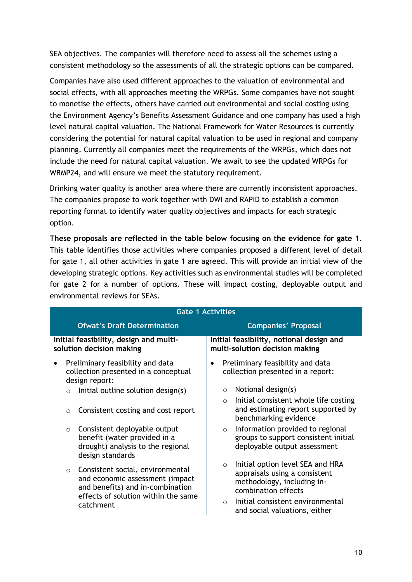SEA objectives. The companies will therefore need to assess all the schemes using a consistent methodology so the assessments of all the strategic options can be compared.

Companies have also used different approaches to the valuation of environmental and social effects, with all approaches meeting the WRPGs. Some companies have not sought to monetise the effects, others have carried out environmental and social costing using the Environment Agency's Benefits Assessment Guidance and one company has used a high level natural capital valuation. The National Framework for Water Resources is currently considering the potential for natural capital valuation to be used in regional and company planning. Currently all companies meet the requirements of the WRPGs, which does not include the need for natural capital valuation. We await to see the updated WRPGs for WRMP24, and will ensure we meet the statutory requirement.

Drinking water quality is another area where there are currently inconsistent approaches. The companies propose to work together with DWI and RAPID to establish a common reporting format to identify water quality objectives and impacts for each strategic option.

**These proposals are reflected in the table below focusing on the evidence for gate 1.** This table identifies those activities where companies proposed a different level of detail for gate 1, all other activities in gate 1 are agreed. This will provide an initial view of the developing strategic options. Key activities such as environmental studies will be completed for gate 2 for a number of options. These will impact costing, deployable output and environmental reviews for SEAs.

|                                                                    | <b>Gate 1 Activities</b> |                                                                                                                                                             |                                                                                                                                                                                                                      |  |  |  |  |  |
|--------------------------------------------------------------------|--------------------------|-------------------------------------------------------------------------------------------------------------------------------------------------------------|----------------------------------------------------------------------------------------------------------------------------------------------------------------------------------------------------------------------|--|--|--|--|--|
|                                                                    |                          | <b>Ofwat's Draft Determination</b>                                                                                                                          | <b>Companies' Proposal</b>                                                                                                                                                                                           |  |  |  |  |  |
| Initial feasibility, design and multi-<br>solution decision making |                          |                                                                                                                                                             | Initial feasibility, notional design and<br>multi-solution decision making                                                                                                                                           |  |  |  |  |  |
|                                                                    |                          | Preliminary feasibility and data<br>collection presented in a conceptual<br>design report:                                                                  | Preliminary feasibility and data<br>collection presented in a report:                                                                                                                                                |  |  |  |  |  |
|                                                                    | $\circ$                  | Initial outline solution design(s)                                                                                                                          | Notional design(s)<br>$\circ$                                                                                                                                                                                        |  |  |  |  |  |
|                                                                    | $\circ$                  | Consistent costing and cost report                                                                                                                          | Initial consistent whole life costing<br>$\circ$<br>and estimating report supported by<br>benchmarking evidence                                                                                                      |  |  |  |  |  |
|                                                                    | $\circ$                  | Consistent deployable output<br>benefit (water provided in a<br>drought) analysis to the regional<br>design standards                                       | Information provided to regional<br>$\circ$<br>groups to support consistent initial<br>deployable output assessment                                                                                                  |  |  |  |  |  |
|                                                                    | $\circ$                  | Consistent social, environmental<br>and economic assessment (impact<br>and benefits) and in-combination<br>effects of solution within the same<br>catchment | Initial option level SEA and HRA<br>$\circ$<br>appraisals using a consistent<br>methodology, including in-<br>combination effects<br>Initial consistent environmental<br>$\bigcirc$<br>and social valuations, either |  |  |  |  |  |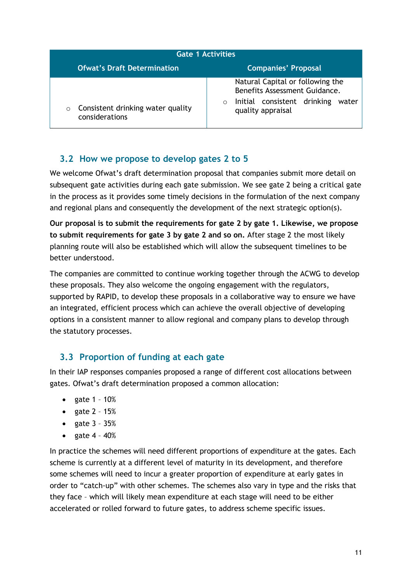| <b>Gate 1 Activities</b>                                         |                                                                                                                                            |  |  |  |  |  |
|------------------------------------------------------------------|--------------------------------------------------------------------------------------------------------------------------------------------|--|--|--|--|--|
| <b>Ofwat's Draft Determination</b><br><b>Companies' Proposal</b> |                                                                                                                                            |  |  |  |  |  |
| Consistent drinking water quality<br>$\circ$<br>considerations   | Natural Capital or following the<br>Benefits Assessment Guidance.<br>Initial consistent drinking<br>water<br>$\Omega$<br>quality appraisal |  |  |  |  |  |

#### <span id="page-10-0"></span>**3.2 How we propose to develop gates 2 to 5**

We welcome Ofwat's draft determination proposal that companies submit more detail on subsequent gate activities during each gate submission. We see gate 2 being a critical gate in the process as it provides some timely decisions in the formulation of the next company and regional plans and consequently the development of the next strategic option(s).

**Our proposal is to submit the requirements for gate 2 by gate 1. Likewise, we propose to submit requirements for gate 3 by gate 2 and so on.** After stage 2 the most likely planning route will also be established which will allow the subsequent timelines to be better understood.

The companies are committed to continue working together through the ACWG to develop these proposals. They also welcome the ongoing engagement with the regulators, supported by RAPID, to develop these proposals in a collaborative way to ensure we have an integrated, efficient process which can achieve the overall objective of developing options in a consistent manner to allow regional and company plans to develop through the statutory processes.

#### <span id="page-10-1"></span>**3.3 Proportion of funding at each gate**

In their IAP responses companies proposed a range of different cost allocations between gates. Ofwat's draft determination proposed a common allocation:

- gate  $1 10%$
- gate  $2 15%$
- gate  $3 35%$
- gate  $4 40%$

In practice the schemes will need different proportions of expenditure at the gates. Each scheme is currently at a different level of maturity in its development, and therefore some schemes will need to incur a greater proportion of expenditure at early gates in order to "catch-up" with other schemes. The schemes also vary in type and the risks that they face – which will likely mean expenditure at each stage will need to be either accelerated or rolled forward to future gates, to address scheme specific issues.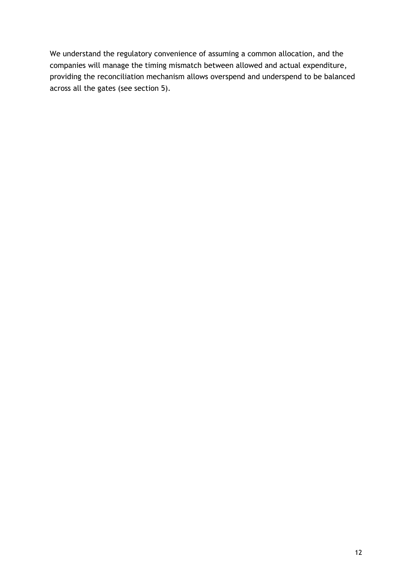We understand the regulatory convenience of assuming a common allocation, and the companies will manage the timing mismatch between allowed and actual expenditure, providing the reconciliation mechanism allows overspend and underspend to be balanced across all the gates (see section 5).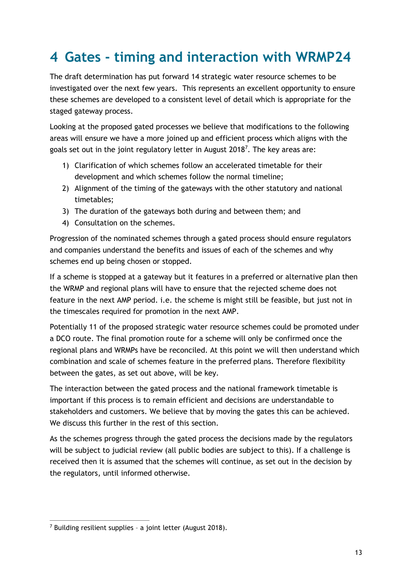### <span id="page-12-0"></span>**4 Gates - timing and interaction with WRMP24**

The draft determination has put forward 14 strategic water resource schemes to be investigated over the next few years. This represents an excellent opportunity to ensure these schemes are developed to a consistent level of detail which is appropriate for the staged gateway process.

Looking at the proposed gated processes we believe that modifications to the following areas will ensure we have a more joined up and efficient process which aligns with the goals set out in the joint regulatory letter in August 2018<sup>7</sup>. The key areas are:

- 1) Clarification of which schemes follow an accelerated timetable for their development and which schemes follow the normal timeline;
- 2) Alignment of the timing of the gateways with the other statutory and national timetables;
- 3) The duration of the gateways both during and between them; and
- 4) Consultation on the schemes.

Progression of the nominated schemes through a gated process should ensure regulators and companies understand the benefits and issues of each of the schemes and why schemes end up being chosen or stopped.

If a scheme is stopped at a gateway but it features in a preferred or alternative plan then the WRMP and regional plans will have to ensure that the rejected scheme does not feature in the next AMP period. i.e. the scheme is might still be feasible, but just not in the timescales required for promotion in the next AMP.

Potentially 11 of the proposed strategic water resource schemes could be promoted under a DCO route. The final promotion route for a scheme will only be confirmed once the regional plans and WRMPs have be reconciled. At this point we will then understand which combination and scale of schemes feature in the preferred plans. Therefore flexibility between the gates, as set out above, will be key.

The interaction between the gated process and the national framework timetable is important if this process is to remain efficient and decisions are understandable to stakeholders and customers. We believe that by moving the gates this can be achieved. We discuss this further in the rest of this section.

As the schemes progress through the gated process the decisions made by the regulators will be subject to judicial review (all public bodies are subject to this). If a challenge is received then it is assumed that the schemes will continue, as set out in the decision by the regulators, until informed otherwise.

 $\overline{a}$ <sup>7</sup> Building resilient supplies – a joint letter (August 2018).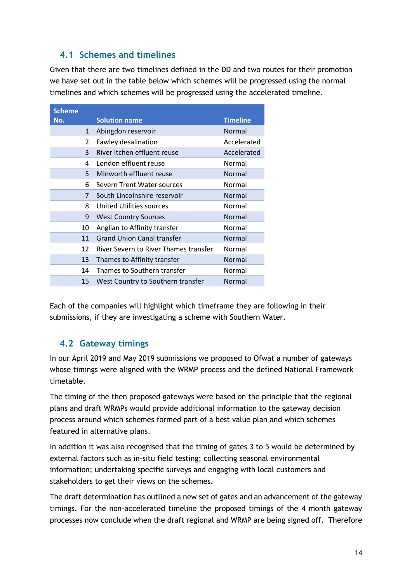#### <span id="page-13-0"></span>**4.1 Schemes and timelines**

Given that there are two timelines defined in the DD and two routes for their promotion we have set out in the table below which schemes will be progressed using the normal timelines and which schemes will be progressed using the accelerated timeline.

| <b>Scheme</b> |                                       |                 |
|---------------|---------------------------------------|-----------------|
| No.           | <b>Solution name</b>                  | <b>Timeline</b> |
| $\mathbf{1}$  | Abingdon reservoir                    | Normal          |
| 2             | Fawley desalination                   | Accelerated     |
| 3             | River Itchen effluent reuse           | Accelerated     |
| 4             | London effluent reuse                 | Normal          |
| 5             | Minworth effluent reuse               | Normal          |
| 6             | Severn Trent Water sources            | Normal          |
| 7             | South Lincolnshire reservoir          | Normal          |
| 8             | United Utilities sources              | Normal          |
| 9             | <b>West Country Sources</b>           | Normal          |
| 10            | Anglian to Affinity transfer          | Normal          |
| 11            | <b>Grand Union Canal transfer</b>     | Normal          |
| 12            | River Severn to River Thames transfer | Normal          |
| 13            | Thames to Affinity transfer           | Normal          |
| 14            | Thames to Southern transfer           | Normal          |
| 15            | West Country to Southern transfer     | Normal          |

Each of the companies will highlight which timeframe they are following in their submissions, if they are investigating a scheme with Southern Water.

#### <span id="page-13-1"></span>**4.2 Gateway timings**

In our April 2019 and May 2019 submissions we proposed to Ofwat a number of gateways whose timings were aligned with the WRMP process and the defined National Framework timetable.

The timing of the then proposed gateways were based on the principle that the regional plans and draft WRMPs would provide additional information to the gateway decision process around which schemes formed part of a best value plan and which schemes featured in alternative plans.

In addition it was also recognised that the timing of gates 3 to 5 would be determined by external factors such as in-situ field testing; collecting seasonal environmental information; undertaking specific surveys and engaging with local customers and stakeholders to get their views on the schemes.

The draft determination has outlined a new set of gates and an advancement of the gateway timings. For the non-accelerated timeline the proposed timings of the 4 month gateway processes now conclude when the draft regional and WRMP are being signed off. Therefore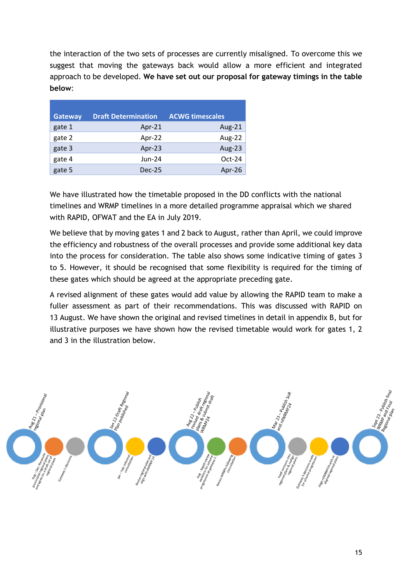the interaction of the two sets of processes are currently misaligned. To overcome this we suggest that moving the gateways back would allow a more efficient and integrated approach to be developed. **We have set out our proposal for gateway timings in the table below:**

| <b>Gateway</b> | <b>Draft Determination</b> | <b>ACWG timescales</b> |
|----------------|----------------------------|------------------------|
| gate 1         | Apr-21                     | Aug-21                 |
| gate 2         | Apr-22                     | Aug-22                 |
| gate 3         | Apr-23                     | <b>Aug-23</b>          |
| gate 4         | $Jun-24$                   | $Oct-24$               |
| gate 5         | $Dec-25$                   | Apr-26                 |

We have illustrated how the timetable proposed in the DD conflicts with the national timelines and WRMP timelines in a more detailed programme appraisal which we shared with RAPID, OFWAT and the EA in July 2019.

We believe that by moving gates 1 and 2 back to August, rather than April, we could improve the efficiency and robustness of the overall processes and provide some additional key data into the process for consideration. The table also shows some indicative timing of gates 3 to 5. However, it should be recognised that some flexibility is required for the timing of these gates which should be agreed at the appropriate preceding gate.

A revised alignment of these gates would add value by allowing the RAPID team to make a fuller assessment as part of their recommendations. This was discussed with RAPID on 13 August. We have shown the original and revised timelines in detail in appendix B, but for illustrative purposes we have shown how the revised timetable would work for gates 1, 2 and 3 in the illustration below.

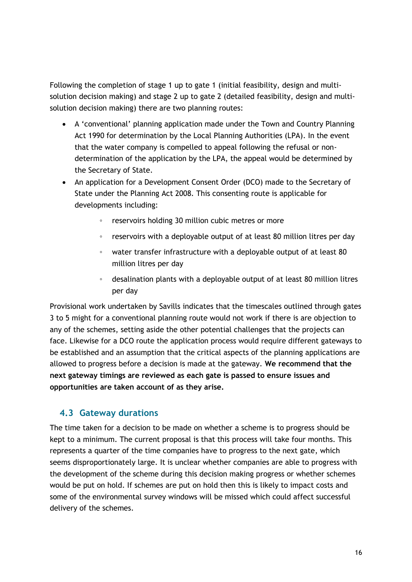Following the completion of stage 1 up to gate 1 (initial feasibility, design and multisolution decision making) and stage 2 up to gate 2 (detailed feasibility, design and multisolution decision making) there are two planning routes:

- A 'conventional' planning application made under the Town and Country Planning Act 1990 for determination by the Local Planning Authorities (LPA). In the event that the water company is compelled to appeal following the refusal or nondetermination of the application by the LPA, the appeal would be determined by the Secretary of State.
- An application for a Development Consent Order (DCO) made to the Secretary of State under the Planning Act 2008. This consenting route is applicable for developments including:
	- reservoirs holding 30 million cubic metres or more
	- reservoirs with a deployable output of at least 80 million litres per day
	- water transfer infrastructure with a deployable output of at least 80 million litres per day
	- desalination plants with a deployable output of at least 80 million litres per day

Provisional work undertaken by Savills indicates that the timescales outlined through gates 3 to 5 might for a conventional planning route would not work if there is are objection to any of the schemes, setting aside the other potential challenges that the projects can face. Likewise for a DCO route the application process would require different gateways to be established and an assumption that the critical aspects of the planning applications are allowed to progress before a decision is made at the gateway. **We recommend that the next gateway timings are reviewed as each gate is passed to ensure issues and opportunities are taken account of as they arise.**

#### <span id="page-15-0"></span>**4.3 Gateway durations**

The time taken for a decision to be made on whether a scheme is to progress should be kept to a minimum. The current proposal is that this process will take four months. This represents a quarter of the time companies have to progress to the next gate, which seems disproportionately large. It is unclear whether companies are able to progress with the development of the scheme during this decision making progress or whether schemes would be put on hold. If schemes are put on hold then this is likely to impact costs and some of the environmental survey windows will be missed which could affect successful delivery of the schemes.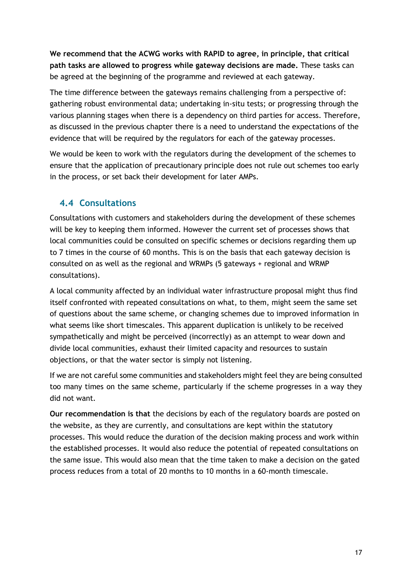**We recommend that the ACWG works with RAPID to agree, in principle, that critical path tasks are allowed to progress while gateway decisions are made.** These tasks can be agreed at the beginning of the programme and reviewed at each gateway.

The time difference between the gateways remains challenging from a perspective of: gathering robust environmental data; undertaking in-situ tests; or progressing through the various planning stages when there is a dependency on third parties for access. Therefore, as discussed in the previous chapter there is a need to understand the expectations of the evidence that will be required by the regulators for each of the gateway processes.

We would be keen to work with the regulators during the development of the schemes to ensure that the application of precautionary principle does not rule out schemes too early in the process, or set back their development for later AMPs.

#### <span id="page-16-0"></span>**4.4 Consultations**

Consultations with customers and stakeholders during the development of these schemes will be key to keeping them informed. However the current set of processes shows that local communities could be consulted on specific schemes or decisions regarding them up to 7 times in the course of 60 months. This is on the basis that each gateway decision is consulted on as well as the regional and WRMPs (5 gateways + regional and WRMP consultations).

A local community affected by an individual water infrastructure proposal might thus find itself confronted with repeated consultations on what, to them, might seem the same set of questions about the same scheme, or changing schemes due to improved information in what seems like short timescales. This apparent duplication is unlikely to be received sympathetically and might be perceived (incorrectly) as an attempt to wear down and divide local communities, exhaust their limited capacity and resources to sustain objections, or that the water sector is simply not listening.

If we are not careful some communities and stakeholders might feel they are being consulted too many times on the same scheme, particularly if the scheme progresses in a way they did not want.

**Our recommendation is that** the decisions by each of the regulatory boards are posted on the website, as they are currently, and consultations are kept within the statutory processes. This would reduce the duration of the decision making process and work within the established processes. It would also reduce the potential of repeated consultations on the same issue. This would also mean that the time taken to make a decision on the gated process reduces from a total of 20 months to 10 months in a 60-month timescale.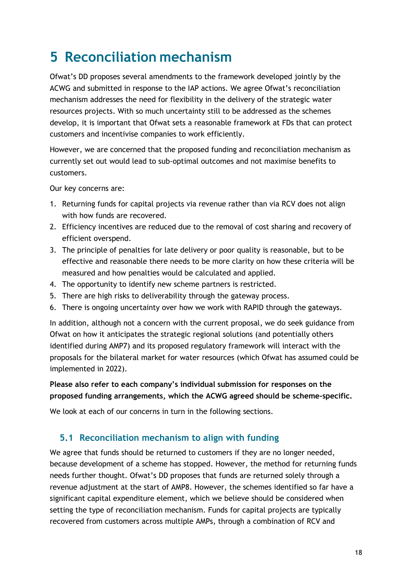### <span id="page-17-0"></span>**5 Reconciliation mechanism**

Ofwat's DD proposes several amendments to the framework developed jointly by the ACWG and submitted in response to the IAP actions. We agree Ofwat's reconciliation mechanism addresses the need for flexibility in the delivery of the strategic water resources projects. With so much uncertainty still to be addressed as the schemes develop, it is important that Ofwat sets a reasonable framework at FDs that can protect customers and incentivise companies to work efficiently.

However, we are concerned that the proposed funding and reconciliation mechanism as currently set out would lead to sub-optimal outcomes and not maximise benefits to customers.

Our key concerns are:

- 1. Returning funds for capital projects via revenue rather than via RCV does not align with how funds are recovered.
- 2. Efficiency incentives are reduced due to the removal of cost sharing and recovery of efficient overspend.
- 3. The principle of penalties for late delivery or poor quality is reasonable, but to be effective and reasonable there needs to be more clarity on how these criteria will be measured and how penalties would be calculated and applied.
- 4. The opportunity to identify new scheme partners is restricted.
- 5. There are high risks to deliverability through the gateway process.
- 6. There is ongoing uncertainty over how we work with RAPID through the gateways.

In addition, although not a concern with the current proposal, we do seek guidance from Ofwat on how it anticipates the strategic regional solutions (and potentially others identified during AMP7) and its proposed regulatory framework will interact with the proposals for the bilateral market for water resources (which Ofwat has assumed could be implemented in 2022).

#### **Please also refer to each company's individual submission for responses on the proposed funding arrangements, which the ACWG agreed should be scheme-specific.**

We look at each of our concerns in turn in the following sections.

#### <span id="page-17-1"></span>**5.1 Reconciliation mechanism to align with funding**

We agree that funds should be returned to customers if they are no longer needed, because development of a scheme has stopped. However, the method for returning funds needs further thought. Ofwat's DD proposes that funds are returned solely through a revenue adjustment at the start of AMP8. However, the schemes identified so far have a significant capital expenditure element, which we believe should be considered when setting the type of reconciliation mechanism. Funds for capital projects are typically recovered from customers across multiple AMPs, through a combination of RCV and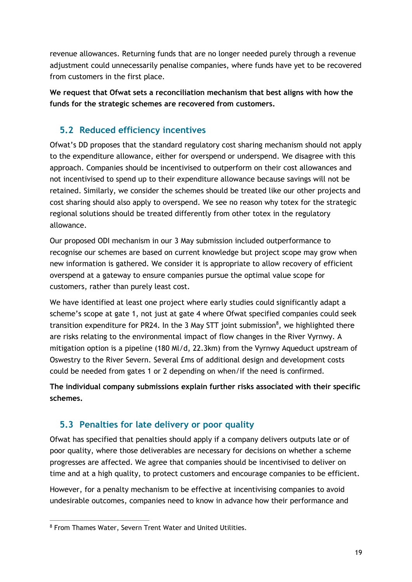revenue allowances. Returning funds that are no longer needed purely through a revenue adjustment could unnecessarily penalise companies, where funds have yet to be recovered from customers in the first place.

**We request that Ofwat sets a reconciliation mechanism that best aligns with how the funds for the strategic schemes are recovered from customers.**

#### <span id="page-18-0"></span>**5.2 Reduced efficiency incentives**

Ofwat's DD proposes that the standard regulatory cost sharing mechanism should not apply to the expenditure allowance, either for overspend or underspend. We disagree with this approach. Companies should be incentivised to outperform on their cost allowances and not incentivised to spend up to their expenditure allowance because savings will not be retained. Similarly, we consider the schemes should be treated like our other projects and cost sharing should also apply to overspend. We see no reason why totex for the strategic regional solutions should be treated differently from other totex in the regulatory allowance.

Our proposed ODI mechanism in our 3 May submission included outperformance to recognise our schemes are based on current knowledge but project scope may grow when new information is gathered. We consider it is appropriate to allow recovery of efficient overspend at a gateway to ensure companies pursue the optimal value scope for customers, rather than purely least cost.

We have identified at least one project where early studies could significantly adapt a scheme's scope at gate 1, not just at gate 4 where Ofwat specified companies could seek transition expenditure for PR24. In the 3 May STT joint submission $\delta$ , we highlighted there are risks relating to the environmental impact of flow changes in the River Vyrnwy. A mitigation option is a pipeline (180 Ml/d, 22.3km) from the Vyrnwy Aqueduct upstream of Oswestry to the River Severn. Several £ms of additional design and development costs could be needed from gates 1 or 2 depending on when/if the need is confirmed.

**The individual company submissions explain further risks associated with their specific schemes.**

#### <span id="page-18-1"></span>**5.3 Penalties for late delivery or poor quality**

Ofwat has specified that penalties should apply if a company delivers outputs late or of poor quality, where those deliverables are necessary for decisions on whether a scheme progresses are affected. We agree that companies should be incentivised to deliver on time and at a high quality, to protect customers and encourage companies to be efficient.

However, for a penalty mechanism to be effective at incentivising companies to avoid undesirable outcomes, companies need to know in advance how their performance and

 $\overline{a}$ <sup>8</sup> From Thames Water, Severn Trent Water and United Utilities.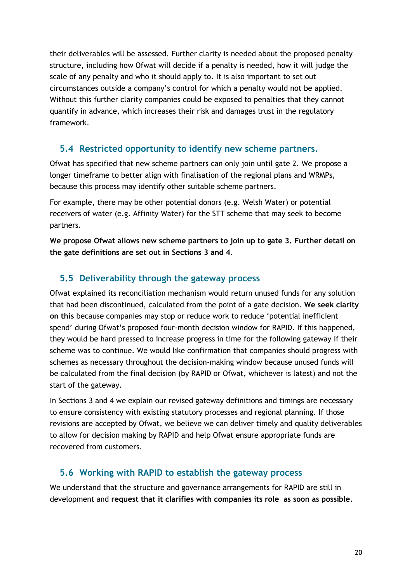their deliverables will be assessed. Further clarity is needed about the proposed penalty structure, including how Ofwat will decide if a penalty is needed, how it will judge the scale of any penalty and who it should apply to. It is also important to set out circumstances outside a company's control for which a penalty would not be applied. Without this further clarity companies could be exposed to penalties that they cannot quantify in advance, which increases their risk and damages trust in the regulatory framework.

#### <span id="page-19-0"></span>**5.4 Restricted opportunity to identify new scheme partners.**

Ofwat has specified that new scheme partners can only join until gate 2. We propose a longer timeframe to better align with finalisation of the regional plans and WRMPs, because this process may identify other suitable scheme partners.

For example, there may be other potential donors (e.g. Welsh Water) or potential receivers of water (e.g. Affinity Water) for the STT scheme that may seek to become partners.

**We propose Ofwat allows new scheme partners to join up to gate 3. Further detail on the gate definitions are set out in Sections 3 and 4.**

#### <span id="page-19-1"></span>**5.5 Deliverability through the gateway process**

Ofwat explained its reconciliation mechanism would return unused funds for any solution that had been discontinued, calculated from the point of a gate decision. **We seek clarity on this** because companies may stop or reduce work to reduce 'potential inefficient spend' during Ofwat's proposed four-month decision window for RAPID. If this happened, they would be hard pressed to increase progress in time for the following gateway if their scheme was to continue. We would like confirmation that companies should progress with schemes as necessary throughout the decision-making window because unused funds will be calculated from the final decision (by RAPID or Ofwat, whichever is latest) and not the start of the gateway.

In Sections 3 and 4 we explain our revised gateway definitions and timings are necessary to ensure consistency with existing statutory processes and regional planning. If those revisions are accepted by Ofwat, we believe we can deliver timely and quality deliverables to allow for decision making by RAPID and help Ofwat ensure appropriate funds are recovered from customers.

#### <span id="page-19-2"></span>**5.6 Working with RAPID to establish the gateway process**

We understand that the structure and governance arrangements for RAPID are still in development and **request that it clarifies with companies its role as soon as possible**.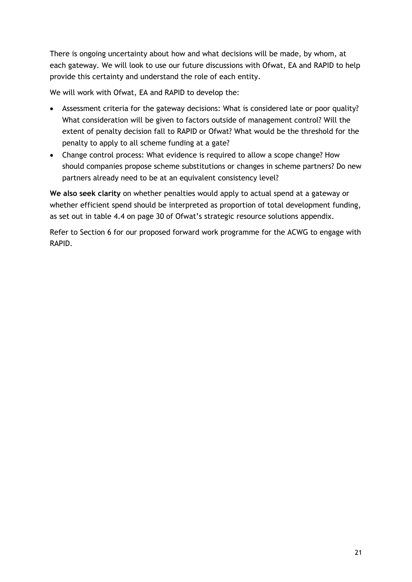There is ongoing uncertainty about how and what decisions will be made, by whom, at each gateway. We will look to use our future discussions with Ofwat, EA and RAPID to help provide this certainty and understand the role of each entity.

We will work with Ofwat, EA and RAPID to develop the:

- Assessment criteria for the gateway decisions: What is considered late or poor quality? What consideration will be given to factors outside of management control? Will the extent of penalty decision fall to RAPID or Ofwat? What would be the threshold for the penalty to apply to all scheme funding at a gate?
- Change control process: What evidence is required to allow a scope change? How should companies propose scheme substitutions or changes in scheme partners? Do new partners already need to be at an equivalent consistency level?

**We also seek clarity** on whether penalties would apply to actual spend at a gateway or whether efficient spend should be interpreted as proportion of total development funding, as set out in table 4.4 on page 30 of Ofwat's strategic resource solutions appendix.

Refer to Section 6 for our proposed forward work programme for the ACWG to engage with RAPID.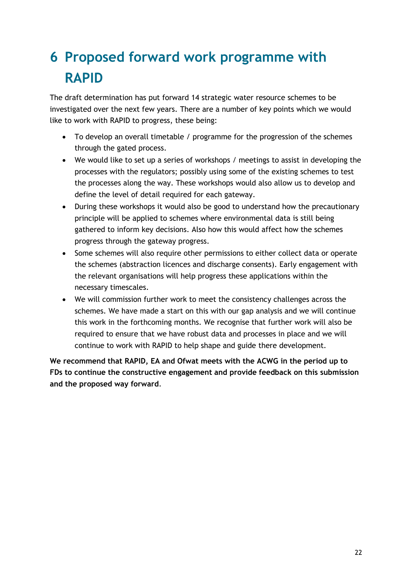## <span id="page-21-0"></span>**6 Proposed forward work programme with RAPID**

The draft determination has put forward 14 strategic water resource schemes to be investigated over the next few years. There are a number of key points which we would like to work with RAPID to progress, these being:

- To develop an overall timetable / programme for the progression of the schemes through the gated process.
- We would like to set up a series of workshops / meetings to assist in developing the processes with the regulators; possibly using some of the existing schemes to test the processes along the way. These workshops would also allow us to develop and define the level of detail required for each gateway.
- During these workshops it would also be good to understand how the precautionary principle will be applied to schemes where environmental data is still being gathered to inform key decisions. Also how this would affect how the schemes progress through the gateway progress.
- Some schemes will also require other permissions to either collect data or operate the schemes (abstraction licences and discharge consents). Early engagement with the relevant organisations will help progress these applications within the necessary timescales.
- We will commission further work to meet the consistency challenges across the schemes. We have made a start on this with our gap analysis and we will continue this work in the forthcoming months. We recognise that further work will also be required to ensure that we have robust data and processes in place and we will continue to work with RAPID to help shape and guide there development.

**We recommend that RAPID, EA and Ofwat meets with the ACWG in the period up to FDs to continue the constructive engagement and provide feedback on this submission and the proposed way forward**.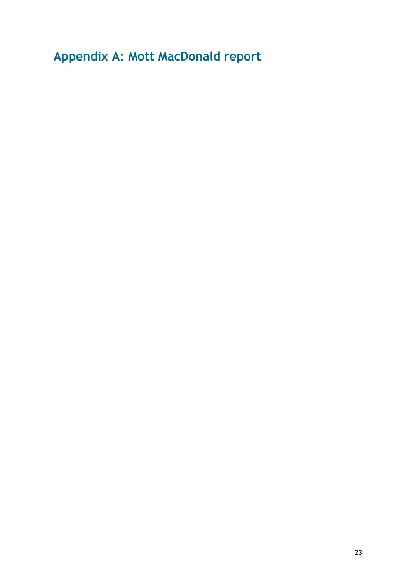<span id="page-22-0"></span>**Appendix A: Mott MacDonald report**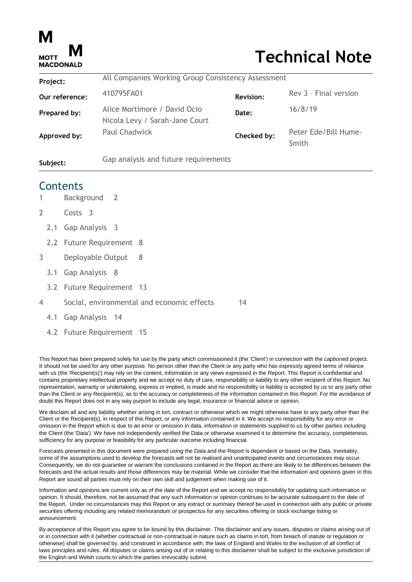

# **Technical Note**

| Project:       | All Companies Working Group Consistency Assessment             |                  |                               |  |  |
|----------------|----------------------------------------------------------------|------------------|-------------------------------|--|--|
| Our reference: | 410795FA01                                                     | <b>Revision:</b> | Rev 3 - Final version         |  |  |
| Prepared by:   | Alice Mortimore / David Ocio<br>Nicola Levy / Sarah-Jane Court | Date:            | 16/8/19                       |  |  |
| Approved by:   | <b>Paul Chadwick</b>                                           | Checked by:      | Peter Ede/Bill Hume-<br>Smith |  |  |
| Subject:       |                                                                |                  |                               |  |  |

#### **Contents**

- 1 [Background](#page-24-0) 2
- 2 [Costs](#page-26-0) 3
	- 2.1 [Gap Analysis](#page-26-1) 3
	- 2.2 [Future Requirement](#page-31-0) 8
- 3 [Deployable Output](#page-31-1) 8
	- 3.1 [Gap Analysis](#page-31-2) 8
	- 3.2 [Future Requirement](#page-36-0) 13
- 4 [Social, environmental and economic effects](#page-37-0) 14
	- 4.1 [Gap Analysis](#page-37-1) 14
	- 4.2 [Future Requirement](#page-38-0) 15

This Report has been prepared solely for use by the party which commissioned it (the 'Client') in connection with the captioned project. It should not be used for any other purpose. No person other than the Client or any party who has expressly agreed terms of reliance with us (the 'Recipient(s)') may rely on the content, information or any views expressed in the Report. This Report is confidential and contains proprietary intellectual property and we accept no duty of care, responsibility or liability to any other recipient of this Report. No representation, warranty or undertaking, express or implied, is made and no responsibility or liability is accepted by us to any party other than the Client or any Recipient(s), as to the accuracy or completeness of the information contained in this Report. For the avoidance of doubt this Report does not in any way purport to include any legal, insurance or financial advice or opinion.

We disclaim all and any liability whether arising in tort, contract or otherwise which we might otherwise have to any party other than the Client or the Recipient(s), in respect of this Report, or any information contained in it. We accept no responsibility for any error or omission in the Report which is due to an error or omission in data, information or statements supplied to us by other parties including the Client (the 'Data'). We have not independently verified the Data or otherwise examined it to determine the accuracy, completeness, sufficiency for any purpose or feasibility for any particular outcome including financial.

Forecasts presented in this document were prepared using the Data and the Report is dependent or based on the Data. Inevitably, some of the assumptions used to develop the forecasts will not be realised and unanticipated events and circumstances may occur. Consequently, we do not guarantee or warrant the conclusions contained in the Report as there are likely to be differences between the forecasts and the actual results and those differences may be material. While we consider that the information and opinions given in this Report are sound all parties must rely on their own skill and judgement when making use of it.

Information and opinions are current only as of the date of the Report and we accept no responsibility for updating such information or opinion. It should, therefore, not be assumed that any such information or opinion continues to be accurate subsequent to the date of the Report. Under no circumstances may this Report or any extract or summary thereof be used in connection with any public or private securities offering including any related memorandum or prospectus for any securities offering or stock exchange listing or announcement.

By acceptance of this Report you agree to be bound by this disclaimer. This disclaimer and any issues, disputes or claims arising out of or in connection with it (whether contractual or non-contractual in nature such as claims in tort, from breach of statute or regulation or otherwise) shall be governed by, and construed in accordance with, the laws of England and Wales to the exclusion of all conflict of laws principles and rules. All disputes or claims arising out of or relating to this disclaimer shall be subject to the exclusive jurisdiction of the English and Welsh courts to which the parties irrevocably submit.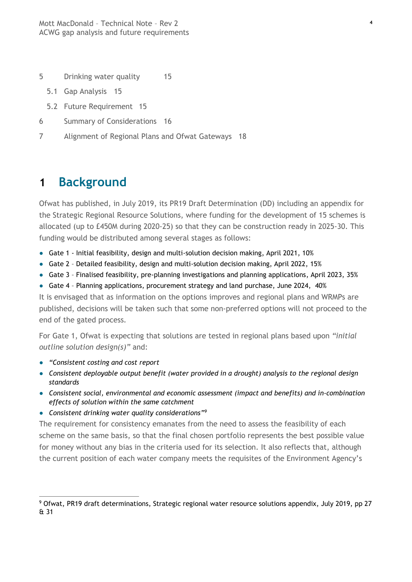- 5 [Drinking water quality](#page-38-1) 15
	- 5.1 [Gap Analysis](#page-38-2) 15
	- 5.2 [Future Requirement](#page-39-0) 15
- 6 [Summary of Considerations](#page-39-1) 16
- 7 [Alignment of Regional Plans and Ofwat Gateways](#page-42-0) 18

### <span id="page-24-0"></span>**1 Background**

Ofwat has published, in July 2019, its PR19 Draft Determination (DD) including an appendix for the Strategic Regional Resource Solutions, where funding for the development of 15 schemes is allocated (up to £450M during 2020-25) so that they can be construction ready in 2025-30. This funding would be distributed among several stages as follows:

- Gate 1 Initial feasibility, design and multi-solution decision making, April 2021, 10%
- Gate 2 Detailed feasibility, design and multi-solution decision making, April 2022, 15%
- Gate 3 Finalised feasibility, pre-planning investigations and planning applications, April 2023, 35%
- Gate 4 Planning applications, procurement strategy and land purchase, June 2024, 40%

It is envisaged that as information on the options improves and regional plans and WRMPs are published, decisions will be taken such that some non-preferred options will not proceed to the end of the gated process.

For Gate 1, Ofwat is expecting that solutions are tested in regional plans based upon *"initial outline solution design(s)"* and:

● *"Consistent costing and cost report* 

 $\overline{a}$ 

- *Consistent deployable output benefit (water provided in a drought) analysis to the regional design standards*
- *Consistent social, environmental and economic assessment (impact and benefits) and in-combination effects of solution within the same catchment*
- *Consistent drinking water quality considerations" 9*

The requirement for consistency emanates from the need to assess the feasibility of each scheme on the same basis, so that the final chosen portfolio represents the best possible value for money without any bias in the criteria used for its selection. It also reflects that, although the current position of each water company meets the requisites of the Environment Agency's

<sup>9</sup> Ofwat, PR19 draft determinations, Strategic regional water resource solutions appendix, July 2019, pp 27 & 31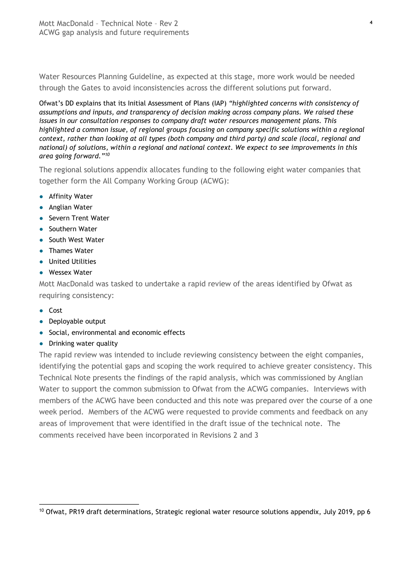Water Resources Planning Guideline, as expected at this stage, more work would be needed through the Gates to avoid inconsistencies across the different solutions put forward.

Ofwat's DD explains that its Initial Assessment of Plans (IAP) *"highlighted concerns with consistency of assumptions and inputs, and transparency of decision making across company plans. We raised these issues in our consultation responses to company draft water resources management plans. This highlighted a common issue, of regional groups focusing on company specific solutions within a regional context, rather than looking at all types (both company and third party) and scale (local, regional and national) of solutions, within a regional and national context. We expect to see improvements in this area going forward." 10*

The regional solutions appendix allocates funding to the following eight water companies that together form the All Company Working Group (ACWG):

- Affinity Water
- Anglian Water
- Severn Trent Water
- Southern Water
- South West Water
- Thames Water
- United Utilities
- Wessex Water

Mott MacDonald was tasked to undertake a rapid review of the areas identified by Ofwat as requiring consistency:

- Cost
- Deployable output
- Social, environmental and economic effects
- Drinking water quality

The rapid review was intended to include reviewing consistency between the eight companies, identifying the potential gaps and scoping the work required to achieve greater consistency. This Technical Note presents the findings of the rapid analysis, which was commissioned by Anglian Water to support the common submission to Ofwat from the ACWG companies. Interviews with members of the ACWG have been conducted and this note was prepared over the course of a one week period. Members of the ACWG were requested to provide comments and feedback on any areas of improvement that were identified in the draft issue of the technical note. The comments received have been incorporated in Revisions 2 and 3

 $\overline{a}$ <sup>10</sup> Ofwat, PR19 draft determinations, Strategic regional water resource solutions appendix, July 2019, pp 6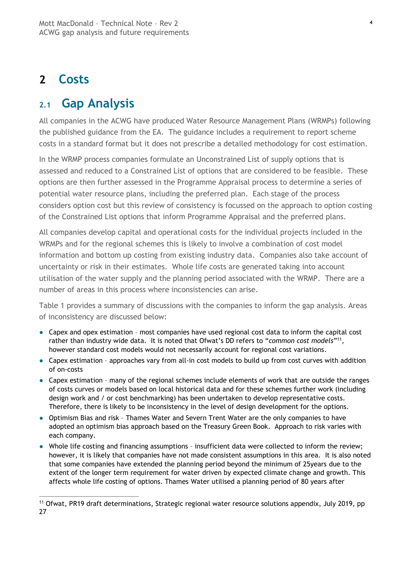### <span id="page-26-0"></span>**2 Costs**

 $\overline{a}$ 

### <span id="page-26-1"></span>**2.1 Gap Analysis**

All companies in the ACWG have produced Water Resource Management Plans (WRMPs) following the published guidance from the EA. The guidance includes a requirement to report scheme costs in a standard format but it does not prescribe a detailed methodology for cost estimation.

In the WRMP process companies formulate an Unconstrained List of supply options that is assessed and reduced to a Constrained List of options that are considered to be feasible. These options are then further assessed in the Programme Appraisal process to determine a series of potential water resource plans, including the preferred plan. Each stage of the process considers option cost but this review of consistency is focussed on the approach to option costing of the Constrained List options that inform Programme Appraisal and the preferred plans.

All companies develop capital and operational costs for the individual projects included in the WRMPs and for the regional schemes this is likely to involve a combination of cost model information and bottom up costing from existing industry data. Companies also take account of uncertainty or risk in their estimates. Whole life costs are generated taking into account utilisation of the water supply and the planning period associated with the WRMP. There are a number of areas in this process where inconsistencies can arise.

Table 1 provides a summary of discussions with the companies to inform the gap analysis. Areas of inconsistency are discussed below:

- Capex and opex estimation most companies have used regional cost data to inform the capital cost rather than industry wide data. It is noted that Ofwat's DD refers to "common cost models"<sup>11</sup>, however standard cost models would not necessarily account for regional cost variations.
- Capex estimation approaches vary from all-in cost models to build up from cost curves with addition of on-costs
- Capex estimation many of the regional schemes include elements of work that are outside the ranges of costs curves or models based on local historical data and for these schemes further work (including design work and / or cost benchmarking) has been undertaken to develop representative costs. Therefore, there is likely to be inconsistency in the level of design development for the options.
- Optimism Bias and risk Thames Water and Severn Trent Water are the only companies to have adopted an optimism bias approach based on the Treasury Green Book. Approach to risk varies with each company.
- Whole life costing and financing assumptions insufficient data were collected to inform the review; however, it is likely that companies have not made consistent assumptions in this area. It is also noted that some companies have extended the planning period beyond the minimum of 25years due to the extent of the longer term requirement for water driven by expected climate change and growth. This affects whole life costing of options. Thames Water utilised a planning period of 80 years after

<sup>&</sup>lt;sup>11</sup> Ofwat, PR19 draft determinations, Strategic regional water resource solutions appendix, July 2019, pp 27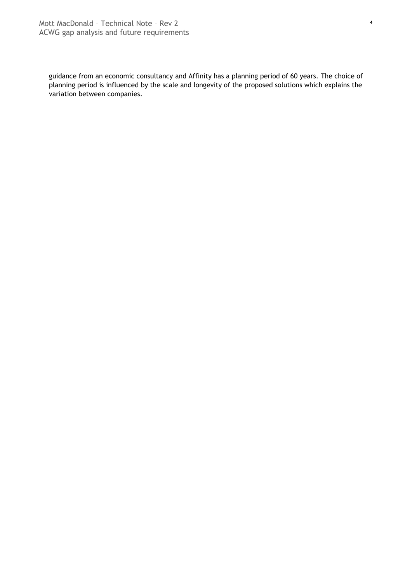guidance from an economic consultancy and Affinity has a planning period of 60 years. The choice of planning period is influenced by the scale and longevity of the proposed solutions which explains the variation between companies.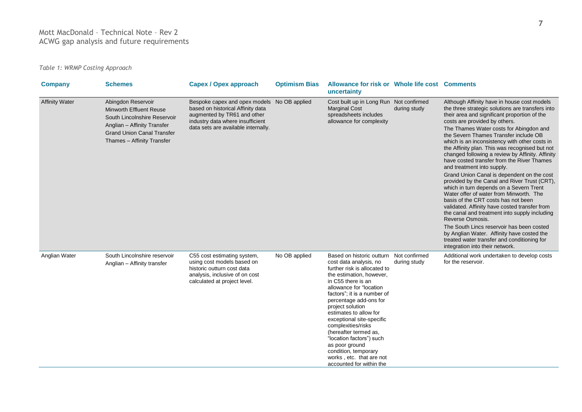#### Mott MacDonald – Technical Note – Rev 2 ACWG gap analysis and future requirements

*Table 1: WRMP Costing Approach*

| <b>Company</b>        | <b>Schemes</b>                                                                                                                                                                         | <b>Capex / Opex approach</b>                                                                                                                                                               | <b>Optimism Bias</b> | Allowance for risk or Whole life cost Comments<br>uncertainty                                                                                                                                                                                                                                                                                                                                                                                                                                   |              |                                                                                                                                                                                                                                                                                                                                                                                                                                                                                                                                                                                                                                                                                                                                                                                                                                                                                                                                                                                                                                       |
|-----------------------|----------------------------------------------------------------------------------------------------------------------------------------------------------------------------------------|--------------------------------------------------------------------------------------------------------------------------------------------------------------------------------------------|----------------------|-------------------------------------------------------------------------------------------------------------------------------------------------------------------------------------------------------------------------------------------------------------------------------------------------------------------------------------------------------------------------------------------------------------------------------------------------------------------------------------------------|--------------|---------------------------------------------------------------------------------------------------------------------------------------------------------------------------------------------------------------------------------------------------------------------------------------------------------------------------------------------------------------------------------------------------------------------------------------------------------------------------------------------------------------------------------------------------------------------------------------------------------------------------------------------------------------------------------------------------------------------------------------------------------------------------------------------------------------------------------------------------------------------------------------------------------------------------------------------------------------------------------------------------------------------------------------|
| <b>Affinity Water</b> | Abingdon Reservoir<br><b>Minworth Effluent Reuse</b><br>South Lincolnshire Reservoir<br>Anglian - Affinity Transfer<br><b>Grand Union Canal Transfer</b><br>Thames - Affinity Transfer | Bespoke capex and opex models No OB applied<br>based on historical Affinity data<br>augmented by TR61 and other<br>industry data where insufficient<br>data sets are available internally. |                      | Cost built up in Long Run Not confirmed<br><b>Marginal Cost</b><br>spreadsheets includes<br>allowance for complexity                                                                                                                                                                                                                                                                                                                                                                            | during study | Although Affinity have in house cost models<br>the three strategic solutions are transfers into<br>their area and significant proportion of the<br>costs are provided by others.<br>The Thames Water costs for Abingdon and<br>the Severn Thames Transfer include OB<br>which is an inconsistency with other costs in<br>the Affinity plan. This was recognised but not<br>changed following a review by Affinity. Affinity<br>have costed transfer from the River Thames<br>and treatment into supply.<br>Grand Union Canal is dependent on the cost<br>provided by the Canal and River Trust (CRT),<br>which in turn depends on a Severn Trent<br>Water offer of water from Minworth. The<br>basis of the CRT costs has not been<br>validated. Affinity have costed transfer from<br>the canal and treatment into supply including<br>Reverse Osmosis.<br>The South Lincs reservoir has been costed<br>by Anglian Water. Affinity have costed the<br>treated water transfer and conditioning for<br>integration into their network. |
| Anglian Water         | South Lincolnshire reservoir<br>Anglian - Affinity transfer                                                                                                                            | C55 cost estimating system,<br>using cost models based on<br>historic outturn cost data<br>analysis, inclusive of on cost<br>calculated at project level.                                  | No OB applied        | Based on historic outturn Not confirmed<br>cost data analysis, no<br>further risk is allocated to<br>the estimation, however,<br>in C55 there is an<br>allowance for "location<br>factors"; it is a number of<br>percentage add-ons for<br>project solution<br>estimates to allow for<br>exceptional site-specific<br>complexities/risks<br>(hereafter termed as,<br>"location factors") such<br>as poor ground<br>condition, temporary<br>works, etc. that are not<br>accounted for within the | during study | Additional work undertaken to develop costs<br>for the reservoir.                                                                                                                                                                                                                                                                                                                                                                                                                                                                                                                                                                                                                                                                                                                                                                                                                                                                                                                                                                     |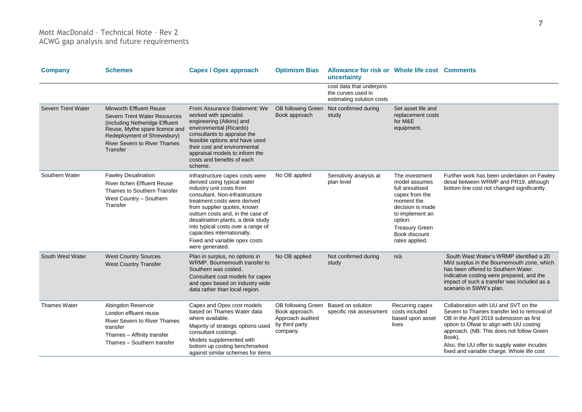| <b>Company</b>      | <b>Schemes</b>                                                                                                                                                                                                | <b>Capex / Opex approach</b>                                                                                                                                                                                                                                                                                                                                                                   | <b>Optimism Bias</b>                                                                   | Allowance for risk or Whole life cost Comments<br>uncertainty               |                                                                                                                                                                                                  |                                                                                                                                                                                                                                                                                                                                |
|---------------------|---------------------------------------------------------------------------------------------------------------------------------------------------------------------------------------------------------------|------------------------------------------------------------------------------------------------------------------------------------------------------------------------------------------------------------------------------------------------------------------------------------------------------------------------------------------------------------------------------------------------|----------------------------------------------------------------------------------------|-----------------------------------------------------------------------------|--------------------------------------------------------------------------------------------------------------------------------------------------------------------------------------------------|--------------------------------------------------------------------------------------------------------------------------------------------------------------------------------------------------------------------------------------------------------------------------------------------------------------------------------|
|                     |                                                                                                                                                                                                               |                                                                                                                                                                                                                                                                                                                                                                                                |                                                                                        | cost data that underpins<br>the curves used in<br>estimating solution costs |                                                                                                                                                                                                  |                                                                                                                                                                                                                                                                                                                                |
| Severn Trent Water  | Minworth Effluent Reuse<br>Severn Trent Water Resources<br>(including Netheridge Effluent<br>Reuse, Mythe spare licence and<br>Redeployment of Shrewsbury)<br><b>River Severn to River Thames</b><br>Transfer | From Assurance Statement: We<br>worked with specialist<br>engineering (Atkins) and<br>environmental (Ricardo)<br>consultants to appraise the<br>feasible options and have used<br>their cost and environmental<br>appraisal models to inform the<br>costs and benefits of each<br>scheme.                                                                                                      | OB following Green<br>Book approach                                                    | Not confirmed during<br>study                                               | Set asset life and<br>replacement costs<br>for M&E<br>equipment.                                                                                                                                 |                                                                                                                                                                                                                                                                                                                                |
| Southern Water      | <b>Fawley Desalination</b><br><b>River Itchen Effluent Reuse</b><br>Thames to Southern Transfer<br>West Country - Southern<br>Transfer                                                                        | Infrastructure capex costs were<br>derived using typical water<br>industry unit costs from<br>consultant. Non-infrastructure<br>treatment costs were derived<br>from supplier quotes, known<br>outturn costs and, in the case of<br>desalination plants, a desk study<br>into typical costs over a range of<br>capacities internationally.<br>Fixed and variable opex costs<br>were generated. | No OB applied                                                                          | Sensitivity analysis at<br>plan level                                       | The investment<br>model assumes<br>full annuitised<br>capex from the<br>moment the<br>decision is made<br>to implement an<br>option.<br><b>Treasury Green</b><br>Book discount<br>rates applied. | Further work has been undertaken on Fawley<br>desal between WRMP and PR19, although<br>bottom line cost not changed significantly.                                                                                                                                                                                             |
| South West Water    | <b>West Country Sources</b><br><b>West Country Transfer</b>                                                                                                                                                   | Plan in surplus, no options in<br>WRMP. Bournemouth transfer to<br>Southern was costed.<br>Consultant cost models for capex<br>and opex based on industry wide<br>data rather than local region.                                                                                                                                                                                               | No OB applied                                                                          | Not confirmed during<br>study                                               | n/a                                                                                                                                                                                              | South West Water's WRMP identified a 20<br>MI/d surplus in the Bournemouth zone, which<br>has been offered to Southern Water.<br>Indicative costing were prepared, and the<br>impact of such a transfer was included as a<br>scenario in SWW's plan.                                                                           |
| <b>Thames Water</b> | Abingdon Reservoir<br>London effluent reuse<br><b>River Severn to River Thames</b><br>transfer<br>Thames - Affinity transfer<br>Thames - Southern transfer                                                    | Capex and Opex cost models<br>based on Thames Water data<br>where available.<br>Majority of strategic options used<br>consultant costings.<br>Models supplemented with<br>bottom up costing benchmarked<br>against similar schemes for items                                                                                                                                                   | OB following Green<br>Book approach.<br>Approach audited<br>by third party<br>company. | Based on solution<br>specific risk assessment                               | Recurring capex<br>costs included<br>based upon asset<br>lives                                                                                                                                   | Collaboration with UU and SVT on the<br>Severn to Thames transfer led to removal of<br>OB in the April 2019 submission as first<br>option to Ofwat to align with UU costing<br>approach. (NB: This does not follow Green<br>Book).<br>Also, the UU offer to supply water incudes<br>fixed and variable charge. Whole life cost |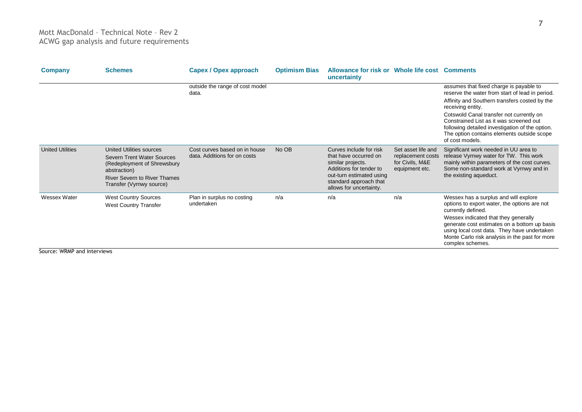| <b>Company</b>          | <b>Schemes</b>                                                                                                                                                                          | <b>Capex / Opex approach</b>                                  | <b>Optimism Bias</b> | Allowance for risk or Whole life cost Comments<br>uncertainty                                                                                                                     |                                                                              |                                                                                                                                                                                                                                                                                                                          |
|-------------------------|-----------------------------------------------------------------------------------------------------------------------------------------------------------------------------------------|---------------------------------------------------------------|----------------------|-----------------------------------------------------------------------------------------------------------------------------------------------------------------------------------|------------------------------------------------------------------------------|--------------------------------------------------------------------------------------------------------------------------------------------------------------------------------------------------------------------------------------------------------------------------------------------------------------------------|
|                         |                                                                                                                                                                                         | outside the range of cost model<br>data.                      |                      |                                                                                                                                                                                   |                                                                              | assumes that fixed charge is payable to<br>reserve the water from start of lead in period.                                                                                                                                                                                                                               |
|                         |                                                                                                                                                                                         |                                                               |                      |                                                                                                                                                                                   |                                                                              | Affinity and Southern transfers costed by the<br>receiving entity.                                                                                                                                                                                                                                                       |
|                         |                                                                                                                                                                                         |                                                               |                      |                                                                                                                                                                                   |                                                                              | Cotswold Canal transfer not currently on<br>Constrained List as it was screened out<br>following detailed investigation of the option.<br>The option contains elements outside scope<br>of cost models.                                                                                                                  |
| <b>United Utilities</b> | <b>United Utilities sources</b><br><b>Severn Trent Water Sources</b><br>(Redeployment of Shrewsbury)<br>abstraction)<br><b>River Severn to River Thames</b><br>Transfer (Vyrnwy source) | Cost curves based on in house<br>data. Additions for on costs | No OB                | Curves include for risk<br>that have occurred on<br>similar projects.<br>Additions for tender to<br>out-turn estimated using<br>standard approach that<br>allows for uncertainty. | Set asset life and<br>replacement costs<br>for Civils, M&E<br>equipment etc. | Significant work needed in UU area to<br>release Vyrnwy water for TW. This work<br>mainly within parameters of the cost curves.<br>Some non-standard work at Vyrnwy and in<br>the existing aqueduct.                                                                                                                     |
| Wessex Water            | <b>West Country Sources</b><br><b>West Country Transfer</b>                                                                                                                             | Plan in surplus no costing<br>undertaken                      | n/a                  | n/a                                                                                                                                                                               | n/a                                                                          | Wessex has a surplus and will explore<br>options to export water, the options are not<br>currently defined.<br>Wessex indicated that they generally<br>generate cost estimates on a bottom up basis<br>using local cost data. They have undertaken<br>Monte Carlo risk analysis in the past for more<br>complex schemes. |

Source: WRMP and interviews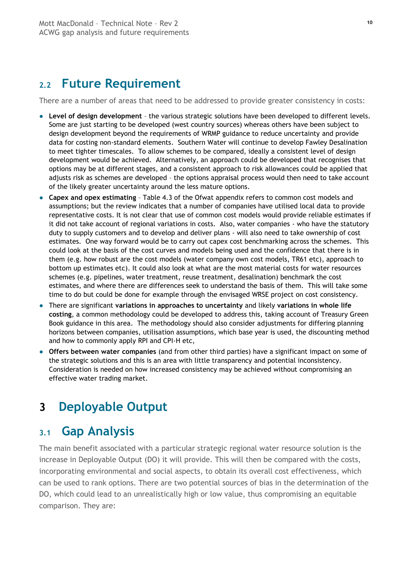### <span id="page-31-0"></span>**2.2 Future Requirement**

There are a number of areas that need to be addressed to provide greater consistency in costs:

- **Level of design development** the various strategic solutions have been developed to different levels. Some are just starting to be developed (west country sources) whereas others have been subject to design development beyond the requirements of WRMP guidance to reduce uncertainty and provide data for costing non-standard elements. Southern Water will continue to develop Fawley Desalination to meet tighter timescales. To allow schemes to be compared, ideally a consistent level of design development would be achieved. Alternatively, an approach could be developed that recognises that options may be at different stages, and a consistent approach to risk allowances could be applied that adjusts risk as schemes are developed – the options appraisal process would then need to take account of the likely greater uncertainty around the less mature options.
- **Capex and opex estimating** Table 4.3 of the Ofwat appendix refers to common cost models and assumptions; but the review indicates that a number of companies have utilised local data to provide representative costs. It is not clear that use of common cost models would provide reliable estimates if it did not take account of regional variations in costs. Also, water companies - who have the statutory duty to supply customers and to develop and deliver plans - will also need to take ownership of cost estimates. One way forward would be to carry out capex cost benchmarking across the schemes. This could look at the basis of the cost curves and models being used and the confidence that there is in them (e.g. how robust are the cost models (water company own cost models, TR61 etc), approach to bottom up estimates etc). It could also look at what are the most material costs for water resources schemes (e.g. pipelines, water treatment, reuse treatment, desalination) benchmark the cost estimates, and where there are differences seek to understand the basis of them. This will take some time to do but could be done for example through the envisaged WRSE project on cost consistency.
- There are significant **variations in approaches to uncertainty** and likely **variations in whole life costing**, a common methodology could be developed to address this, taking account of Treasury Green Book guidance in this area. The methodology should also consider adjustments for differing planning horizons between companies, utilisation assumptions, which base year is used, the discounting method and how to commonly apply RPI and CPI-H etc,
- **Offers between water companies** (and from other third parties) have a significant impact on some of the strategic solutions and this is an area with little transparency and potential inconsistency. Consideration is needed on how increased consistency may be achieved without compromising an effective water trading market.

### <span id="page-31-1"></span>**3 Deployable Output**

### <span id="page-31-2"></span>**3.1 Gap Analysis**

The main benefit associated with a particular strategic regional water resource solution is the increase in Deployable Output (DO) it will provide. This will then be compared with the costs, incorporating environmental and social aspects, to obtain its overall cost effectiveness, which can be used to rank options. There are two potential sources of bias in the determination of the DO, which could lead to an unrealistically high or low value, thus compromising an equitable comparison. They are: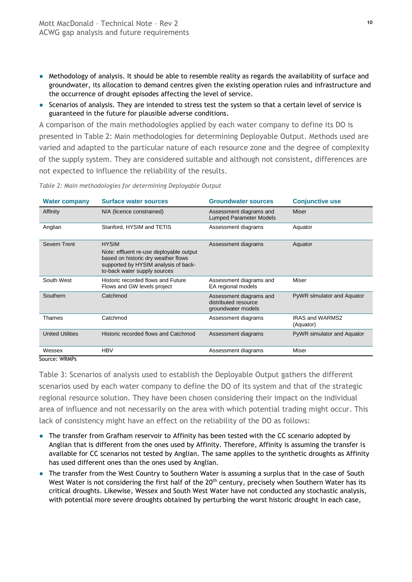- Methodology of analysis. It should be able to resemble reality as regards the availability of surface and groundwater, its allocation to demand centres given the existing operation rules and infrastructure and the occurrence of drought episodes affecting the level of service.
- Scenarios of analysis. They are intended to stress test the system so that a certain level of service is guaranteed in the future for plausible adverse conditions.

A comparison of the main methodologies applied by each water company to define its DO is presented in Table 2: [Main methodologies for determining Deployable Output.](#page-32-0) Methods used are varied and adapted to the particular nature of each resource zone and the degree of complexity of the supply system. They are considered suitable and although not consistent, differences are not expected to influence the reliability of the results.

| <b>Water company</b>    | <b>Surface water sources</b>                                                                                                                                           | <b>Groundwater sources</b>                                            | <b>Conjunctive use</b>              |
|-------------------------|------------------------------------------------------------------------------------------------------------------------------------------------------------------------|-----------------------------------------------------------------------|-------------------------------------|
| Affinity                | N/A (licence constrained)                                                                                                                                              | Assessment diagrams and<br><b>Lumped Parameter Models</b>             | Miser                               |
| Anglian                 | Stanford, HYSIM and TETIS                                                                                                                                              | Assessment diagrams                                                   | Aquator                             |
| Severn Trent            | <b>HYSIM</b><br>Note: effluent re-use deployable output<br>based on historic dry weather flows<br>supported by HYSIM analysis of back-<br>to-back water supply sources | Assessment diagrams                                                   | Aquator                             |
| South West              | Historic recorded flows and Future<br>Flows and GW levels project                                                                                                      | Assessment diagrams and<br>EA regional models                         | Miser                               |
| Southern                | Catchmod                                                                                                                                                               | Assessment diagrams and<br>distributed resource<br>groundwater models | PyWR simulator and Aquator          |
| Thames                  | Catchmod                                                                                                                                                               | Assessment diagrams                                                   | <b>IRAS and WARMS2</b><br>(Aquator) |
| <b>United Utilities</b> | Historic recorded flows and Catchmod                                                                                                                                   | Assessment diagrams                                                   | PyWR simulator and Aquator          |
| Wessex                  | <b>HBV</b>                                                                                                                                                             | Assessment diagrams                                                   | Miser                               |
| Source: WRMPs           |                                                                                                                                                                        |                                                                       |                                     |

<span id="page-32-0"></span>*Table 2: Main methodologies for determining Deployable Output*

Table 3: [Scenarios of analysis used to establish the Deployable Output](#page-34-0) gathers the different scenarios used by each water company to define the DO of its system and that of the strategic regional resource solution. They have been chosen considering their impact on the individual area of influence and not necessarily on the area with which potential trading might occur. This lack of consistency might have an effect on the reliability of the DO as follows:

- The transfer from Grafham reservoir to Affinity has been tested with the CC scenario adopted by Anglian that is different from the ones used by Affinity. Therefore, Affinity is assuming the transfer is available for CC scenarios not tested by Anglian. The same applies to the synthetic droughts as Affinity has used different ones than the ones used by Anglian.
- The transfer from the West Country to Southern Water is assuming a surplus that in the case of South West Water is not considering the first half of the 20<sup>th</sup> century, precisely when Southern Water has its critical droughts. Likewise, Wessex and South West Water have not conducted any stochastic analysis, with potential more severe droughts obtained by perturbing the worst historic drought in each case,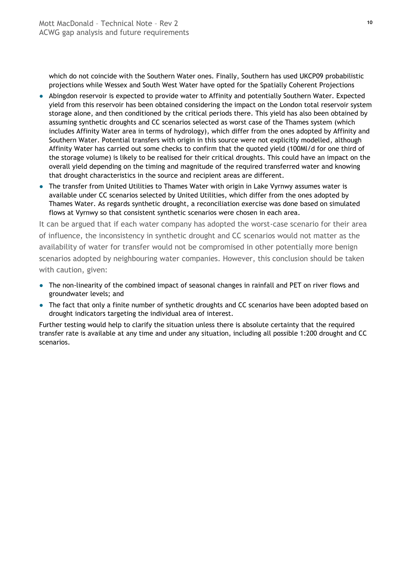which do not coincide with the Southern Water ones. Finally, Southern has used UKCP09 probabilistic projections while Wessex and South West Water have opted for the Spatially Coherent Projections

- Abingdon reservoir is expected to provide water to Affinity and potentially Southern Water. Expected yield from this reservoir has been obtained considering the impact on the London total reservoir system storage alone, and then conditioned by the critical periods there. This yield has also been obtained by assuming synthetic droughts and CC scenarios selected as worst case of the Thames system (which includes Affinity Water area in terms of hydrology), which differ from the ones adopted by Affinity and Southern Water. Potential transfers with origin in this source were not explicitly modelled, although Affinity Water has carried out some checks to confirm that the quoted yield (100Ml/d for one third of the storage volume) is likely to be realised for their critical droughts. This could have an impact on the overall yield depending on the timing and magnitude of the required transferred water and knowing that drought characteristics in the source and recipient areas are different.
- The transfer from United Utilities to Thames Water with origin in Lake Vyrnwy assumes water is available under CC scenarios selected by United Utilities, which differ from the ones adopted by Thames Water. As regards synthetic drought, a reconciliation exercise was done based on simulated flows at Vyrnwy so that consistent synthetic scenarios were chosen in each area.

It can be argued that if each water company has adopted the worst-case scenario for their area of influence, the inconsistency in synthetic drought and CC scenarios would not matter as the availability of water for transfer would not be compromised in other potentially more benign scenarios adopted by neighbouring water companies. However, this conclusion should be taken with caution, given:

- The non-linearity of the combined impact of seasonal changes in rainfall and PET on river flows and groundwater levels; and
- The fact that only a finite number of synthetic droughts and CC scenarios have been adopted based on drought indicators targeting the individual area of interest.

Further testing would help to clarify the situation unless there is absolute certainty that the required transfer rate is available at any time and under any situation, including all possible 1:200 drought and CC scenarios.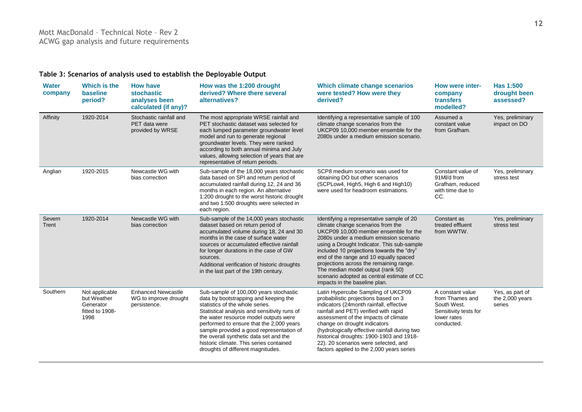#### **Table 3: Scenarios of analysis used to establish the Deployable Output**

<span id="page-34-0"></span>

| <b>Water</b><br>company | Which is the<br><b>baseline</b><br>period?                            | <b>How have</b><br>stochastic<br>analyses been<br>calculated (if any)? | How was the 1:200 drought<br>derived? Where there several<br>alternatives?                                                                                                                                                                                                                                                                                                                                                    | Which climate change scenarios<br>were tested? How were they<br>derived?                                                                                                                                                                                                                                                                                                                                                                                              | How were inter-<br>company<br>transfers<br>modelled?                                                     | Has 1:500<br>drought been<br>assessed?       |
|-------------------------|-----------------------------------------------------------------------|------------------------------------------------------------------------|-------------------------------------------------------------------------------------------------------------------------------------------------------------------------------------------------------------------------------------------------------------------------------------------------------------------------------------------------------------------------------------------------------------------------------|-----------------------------------------------------------------------------------------------------------------------------------------------------------------------------------------------------------------------------------------------------------------------------------------------------------------------------------------------------------------------------------------------------------------------------------------------------------------------|----------------------------------------------------------------------------------------------------------|----------------------------------------------|
| Affinity                | 1920-2014                                                             | Stochastic rainfall and<br><b>PET</b> data were<br>provided by WRSE    | The most appropriate WRSE rainfall and<br>PET stochastic dataset was selected for<br>each lumped parameter groundwater level<br>model and run to generate regional<br>groundwater levels. They were ranked<br>according to both annual minima and July<br>values, allowing selection of years that are<br>representative of return periods.                                                                                   | Identifying a representative sample of 100<br>climate change scenarios from the<br>UKCP09 10.000 member ensemble for the<br>2080s under a medium emission scenario.                                                                                                                                                                                                                                                                                                   | Assumed a<br>constant value<br>from Grafham.                                                             | Yes, preliminary<br>impact on DO             |
| Anglian                 | 1920-2015                                                             | Newcastle WG with<br>bias correction                                   | Sub-sample of the 18,000 years stochastic<br>data based on SPI and return period of<br>accumulated rainfall during 12, 24 and 36<br>months in each region. An alternative<br>1:200 drought to the worst historic drought<br>and two 1:500 droughts were selected in<br>each region.                                                                                                                                           | SCP8 medium scenario was used for<br>obtaining DO but other scenarios<br>(SCPLow4, High5, High 6 and High10)<br>were used for headroom estimations.                                                                                                                                                                                                                                                                                                                   | Constant value of<br>91MI/d from<br>Grafham, reduced<br>with time due to<br>CC.                          | Yes, preliminary<br>stress test              |
| Severn<br>Trent         | 1920-2014                                                             | Newcastle WG with<br>bias correction                                   | Sub-sample of the 14,000 years stochastic<br>dataset based on return period of<br>accumulated volume during 18, 24 and 30<br>months in the case of surface water<br>sources or accumulated effective rainfall<br>for longer durations in the case of GW<br>sources.<br>Additional verification of historic droughts<br>in the last part of the 19th century.                                                                  | Identifying a representative sample of 20<br>climate change scenarios from the<br>UKCP09 10.000 member ensemble for the<br>2080s under a medium emission scenario<br>using a Drought Indicator. This sub-sample<br>included 10 projections towards the "dry"<br>end of the range and 10 equally spaced<br>projections across the remaining range.<br>The median model output (rank 50)<br>scenario adopted as central estimate of CC<br>impacts in the baseline plan. | Constant as<br>treated effluent<br>from WWTW.                                                            | Yes, preliminary<br>stress test              |
| Southern                | Not applicable<br>but Weather<br>Generator<br>fitted to 1908-<br>1998 | <b>Enhanced Newcastle</b><br>WG to improve drought<br>persistence.     | Sub-sample of 100,000 years stochastic<br>data by bootstrapping and keeping the<br>statistics of the whole series.<br>Statistical analysis and sensitivity runs of<br>the water resource model outputs were<br>performed to ensure that the 2,000 years<br>sample provided a good representation of<br>the overall synthetic data set and the<br>historic climate. This series contained<br>droughts of different magnitudes. | Latin Hypercube Sampling of UKCP09<br>probabilistic projections based on 3<br>indicators (24month rainfall, effective<br>rainfall and PET) verified with rapid<br>assessment of the impacts of climate<br>change on drought indicators<br>(hydrologically effective rainfall during two<br>historical droughts: 1900-1903 and 1918-<br>22). 20 scenarios were selected, and<br>factors applied to the 2,000 years series                                              | A constant value<br>from Thames and<br>South West.<br>Sensitivity tests for<br>lower rates<br>conducted. | Yes, as part of<br>the 2,000 years<br>series |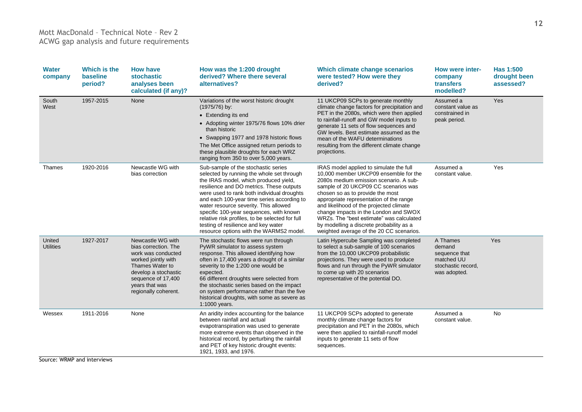#### Mott MacDonald – Technical Note – Rev 2 ACWG gap analysis and future requirements

| <b>Water</b><br>company    | Which is the<br>baseline<br>period? | <b>How have</b><br>stochastic<br>analyses been<br>calculated (if any)?                                                                                                                            | How was the 1:200 drought<br>derived? Where there several<br>alternatives?                                                                                                                                                                                                                                                                                                                                                                                                                 | Which climate change scenarios<br>were tested? How were they<br>derived?                                                                                                                                                                                                                                                                                                                                                                                                  | <b>How were inter-</b><br>company<br>transfers<br>modelled?                             | Has 1:500<br>drought been<br>assessed? |
|----------------------------|-------------------------------------|---------------------------------------------------------------------------------------------------------------------------------------------------------------------------------------------------|--------------------------------------------------------------------------------------------------------------------------------------------------------------------------------------------------------------------------------------------------------------------------------------------------------------------------------------------------------------------------------------------------------------------------------------------------------------------------------------------|---------------------------------------------------------------------------------------------------------------------------------------------------------------------------------------------------------------------------------------------------------------------------------------------------------------------------------------------------------------------------------------------------------------------------------------------------------------------------|-----------------------------------------------------------------------------------------|----------------------------------------|
| South<br>West              | 1957-2015                           | None                                                                                                                                                                                              | Variations of the worst historic drought<br>(1975/76) by:<br>• Extending its end<br>• Adopting winter 1975/76 flows 10% drier<br>than historic<br>• Swapping 1977 and 1978 historic flows<br>The Met Office assigned return periods to<br>these plausible droughts for each WRZ<br>ranging from 350 to over 5,000 years.                                                                                                                                                                   | 11 UKCP09 SCPs to generate monthly<br>climate change factors for precipitation and<br>PET in the 2080s, which were then applied<br>to rainfall-runoff and GW model inputs to<br>generate 11 sets of flow sequences and<br>GW levels. Best estimate assumed as the<br>mean of the WAFU determinations<br>resulting from the different climate change<br>projections.                                                                                                       | Assumed a<br>constant value as<br>constrained in<br>peak period.                        | Yes                                    |
| Thames                     | 1920-2016                           | Newcastle WG with<br>bias correction                                                                                                                                                              | Sub-sample of the stochastic series<br>selected by running the whole set through<br>the IRAS model, which produced yield,<br>resilience and DO metrics. These outputs<br>were used to rank both individual droughts<br>and each 100-year time series according to<br>water resource severity. This allowed<br>specific 100-year sequences, with known<br>relative risk profiles, to be selected for full<br>testing of resilience and key water<br>resource options with the WARMS2 model. | IRAS model applied to simulate the full<br>10,000 member UKCP09 ensemble for the<br>2080s medium emission scenario. A sub-<br>sample of 20 UKCP09 CC scenarios was<br>chosen so as to provide the most<br>appropriate representation of the range<br>and likelihood of the projected climate<br>change impacts in the London and SWOX<br>WRZs. The "best estimate" was calculated<br>by modelling a discrete probability as a<br>weighted average of the 20 CC scenarios. | Assumed a<br>constant value.                                                            | Yes                                    |
| United<br><b>Utilities</b> | 1927-2017                           | Newcastle WG with<br>bias correction. The<br>work was conducted<br>worked jointly with<br>Thames Water to<br>develop a stochastic<br>sequence of 17,400<br>years that was<br>regionally coherent. | The stochastic flows were run through<br>PyWR simulator to assess system<br>response. This allowed identifying how<br>often in 17,400 years a drought of a similar<br>severity to the 1:200 one would be<br>expected.<br>66 different droughts were selected from<br>the stochastic series based on the impact<br>on system performance rather than the five<br>historical droughts, with some as severe as<br>1:1000 years.                                                               | Latin Hypercube Sampling was completed<br>to select a sub-sample of 100 scenarios<br>from the 10,000 UKCP09 probabilistic<br>projections. They were used to produce<br>flows and run through the PyWR simulator<br>to come up with 20 scenarios<br>representative of the potential DO.                                                                                                                                                                                    | A Thames<br>demand<br>sequence that<br>matched UU<br>stochastic record,<br>was adopted. | Yes                                    |
| Wessex<br>11/011D          | 1911-2016                           | None                                                                                                                                                                                              | An aridity index accounting for the balance<br>between rainfall and actual<br>evapotranspiration was used to generate<br>more extreme events than observed in the<br>historical record, by perturbing the rainfall<br>and PET of key historic drought events:<br>1921, 1933, and 1976.                                                                                                                                                                                                     | 11 UKCP09 SCPs adopted to generate<br>monthly climate change factors for<br>precipitation and PET in the 2080s, which<br>were then applied to rainfall-runoff model<br>inputs to generate 11 sets of flow<br>sequences.                                                                                                                                                                                                                                                   | Assumed a<br>constant value.                                                            | No                                     |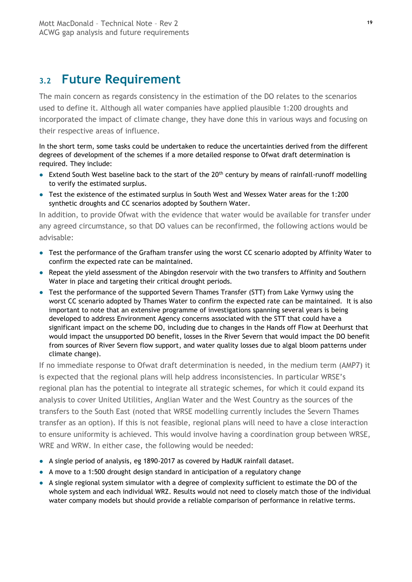### <span id="page-36-0"></span>**3.2 Future Requirement**

The main concern as regards consistency in the estimation of the DO relates to the scenarios used to define it. Although all water companies have applied plausible 1:200 droughts and incorporated the impact of climate change, they have done this in various ways and focusing on their respective areas of influence.

In the short term, some tasks could be undertaken to reduce the uncertainties derived from the different degrees of development of the schemes if a more detailed response to Ofwat draft determination is required. They include:

- Extend South West baseline back to the start of the 20<sup>th</sup> century by means of rainfall-runoff modelling to verify the estimated surplus.
- Test the existence of the estimated surplus in South West and Wessex Water areas for the 1:200 synthetic droughts and CC scenarios adopted by Southern Water.

In addition, to provide Ofwat with the evidence that water would be available for transfer under any agreed circumstance, so that DO values can be reconfirmed, the following actions would be advisable:

- Test the performance of the Grafham transfer using the worst CC scenario adopted by Affinity Water to confirm the expected rate can be maintained.
- Repeat the yield assessment of the Abingdon reservoir with the two transfers to Affinity and Southern Water in place and targeting their critical drought periods.
- Test the performance of the supported Severn Thames Transfer (STT) from Lake Vyrnwy using the worst CC scenario adopted by Thames Water to confirm the expected rate can be maintained. It is also important to note that an extensive programme of investigations spanning several years is being developed to address Environment Agency concerns associated with the STT that could have a significant impact on the scheme DO, including due to changes in the Hands off Flow at Deerhurst that would impact the unsupported DO benefit, losses in the River Severn that would impact the DO benefit from sources of River Severn flow support, and water quality losses due to algal bloom patterns under climate change).

If no immediate response to Ofwat draft determination is needed, in the medium term (AMP7) it is expected that the regional plans will help address inconsistencies. In particular WRSE's regional plan has the potential to integrate all strategic schemes, for which it could expand its analysis to cover United Utilities, Anglian Water and the West Country as the sources of the transfers to the South East (noted that WRSE modelling currently includes the Severn Thames transfer as an option). If this is not feasible, regional plans will need to have a close interaction to ensure uniformity is achieved. This would involve having a coordination group between WRSE, WRE and WRW. In either case, the following would be needed:

- A single period of analysis, eg 1890-2017 as covered by HadUK rainfall dataset.
- A move to a 1:500 drought design standard in anticipation of a regulatory change
- A single regional system simulator with a degree of complexity sufficient to estimate the DO of the whole system and each individual WRZ. Results would not need to closely match those of the individual water company models but should provide a reliable comparison of performance in relative terms.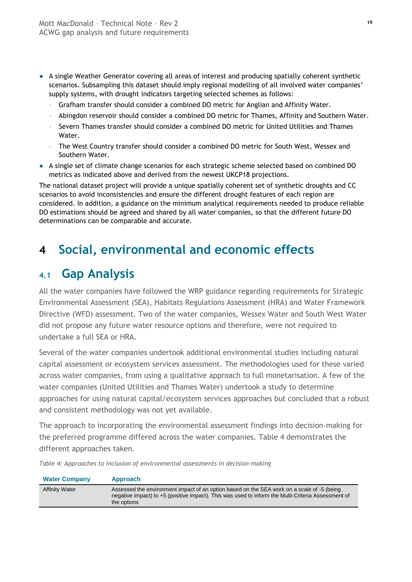- A single Weather Generator covering all areas of interest and producing spatially coherent synthetic scenarios. Subsampling this dataset should imply regional modelling of all involved water companies' supply systems, with drought indicators targeting selected schemes as follows:
	- Grafham transfer should consider a combined DO metric for Anglian and Affinity Water.
	- Abingdon reservoir should consider a combined DO metric for Thames, Affinity and Southern Water.
	- Severn Thames transfer should consider a combined DO metric for United Utilities and Thames Water.
	- The West Country transfer should consider a combined DO metric for South West, Wessex and Southern Water.
- A single set of climate change scenarios for each strategic scheme selected based on combined DO metrics as indicated above and derived from the newest UKCP18 projections.

The national dataset project will provide a unique spatially coherent set of synthetic droughts and CC scenarios to avoid inconsistencies and ensure the different drought features of each region are considered. In addition, a guidance on the minimum analytical requirements needed to produce reliable DO estimations should be agreed and shared by all water companies, so that the different future DO determinations can be comparable and accurate.

### <span id="page-37-0"></span>**4 Social, environmental and economic effects**

### <span id="page-37-1"></span>**4.1 Gap Analysis**

All the water companies have followed the WRP guidance regarding requirements for Strategic Environmental Assessment (SEA), Habitats Regulations Assessment (HRA) and Water Framework Directive (WFD) assessment. Two of the water companies, Wessex Water and South West Water did not propose any future water resource options and therefore, were not required to undertake a full SEA or HRA.

Several of the water companies undertook additional environmental studies including natural capital assessment or ecosystem services assessment. The methodologies used for these varied across water companies, from using a qualitative approach to full monetarisation. A few of the water companies (United Utilities and Thames Water) undertook a study to determine approaches for using natural capital/ecosystem services approaches but concluded that a robust and consistent methodology was not yet available.

The approach to incorporating the environmental assessment findings into decision-making for the preferred programme differed across the water companies. [Table](#page-37-2) 4 demonstrates the different approaches taken.

<span id="page-37-2"></span>*Table 4: Approaches to inclusion of environmental assessments in decision-making*

| <b>Water Company</b>  | <b>Approach</b>                                                                                                                                                                                                 |
|-----------------------|-----------------------------------------------------------------------------------------------------------------------------------------------------------------------------------------------------------------|
| <b>Affinity Water</b> | Assessed the environment impact of an option based on the SEA work on a scale of -5 (being<br>negative impact) to +5 (positive impact). This was used to inform the Multi-Criteria Assessment of<br>the options |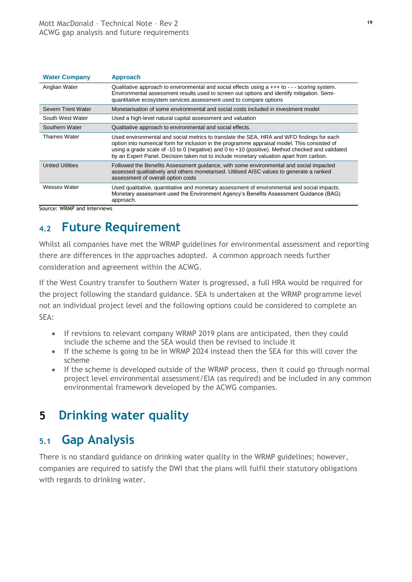| <b>Water Company</b>      | <b>Approach</b>                                                                                                                                                                                                                                                                                                                                                                          |
|---------------------------|------------------------------------------------------------------------------------------------------------------------------------------------------------------------------------------------------------------------------------------------------------------------------------------------------------------------------------------------------------------------------------------|
| Anglian Water             | Qualitative approach to environmental and social effects using $a + + +$ to $- -$ scoring system.<br>Environmental assessment results used to screen out options and identify mitigation. Semi-<br>quantitative ecosystem services assessment used to compare options                                                                                                                    |
| <b>Severn Trent Water</b> | Monetarisation of some environmental and social costs included in investment model                                                                                                                                                                                                                                                                                                       |
| South West Water          | Used a high-level natural capital assessment and valuation                                                                                                                                                                                                                                                                                                                               |
| Southern Water            | Qualitative approach to environmental and social effects.                                                                                                                                                                                                                                                                                                                                |
| <b>Thames Water</b>       | Used environmental and social metrics to translate the SEA, HRA and WFD findings for each<br>option into numerical form for inclusion in the programme appraisal model. This consisted of<br>using a grade scale of -10 to 0 (negative) and 0 to +10 (positive). Method checked and validated<br>by an Expert Panel. Decision taken not to include monetary valuation apart from carbon. |
| <b>United Utilities</b>   | Followed the Benefits Assessment guidance, with some environmental and social impacted<br>assessed qualitatively and others monetarised. Utilised AISC values to generate a ranked<br>assessment of overall option costs                                                                                                                                                                 |
| Wessex Water              | Used qualitative, quantitative and monetary assessment of environmental and social impacts.<br>Monetary assessment used the Environment Agency's Benefits Assessment Guidance (BAG)<br>approach.                                                                                                                                                                                         |

Source: WRMP and interviews

### <span id="page-38-0"></span>**4.2 Future Requirement**

Whilst all companies have met the WRMP guidelines for environmental assessment and reporting there are differences in the approaches adopted. A common approach needs further consideration and agreement within the ACWG.

If the West Country transfer to Southern Water is progressed, a full HRA would be required for the project following the standard guidance. SEA is undertaken at the WRMP programme level not an individual project level and the following options could be considered to complete an SEA:

- If revisions to relevant company WRMP 2019 plans are anticipated, then they could include the scheme and the SEA would then be revised to include it
- If the scheme is going to be in WRMP 2024 instead then the SEA for this will cover the scheme
- If the scheme is developed outside of the WRMP process, then it could go through normal project level environmental assessment/EIA (as required) and be included in any common environmental framework developed by the ACWG companies.

### <span id="page-38-1"></span>**5 Drinking water quality**

### <span id="page-38-2"></span>**5.1 Gap Analysis**

There is no standard guidance on drinking water quality in the WRMP guidelines; however, companies are required to satisfy the DWI that the plans will fulfil their statutory obligations with regards to drinking water.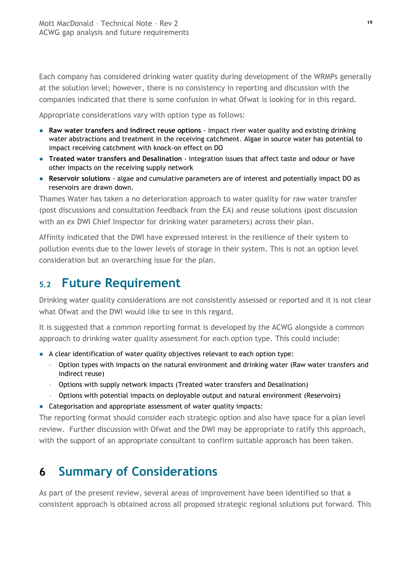Each company has considered drinking water quality during development of the WRMPs generally at the solution level; however, there is no consistency in reporting and discussion with the companies indicated that there is some confusion in what Ofwat is looking for in this regard.

Appropriate considerations vary with option type as follows:

- **Raw water transfers and indirect reuse options** impact river water quality and existing drinking water abstractions and treatment in the receiving catchment. Algae in source water has potential to impact receiving catchment with knock-on effect on DO
- **Treated water transfers and Desalination** integration issues that affect taste and odour or have other impacts on the receiving supply network
- **Reservoir solutions** algae and cumulative parameters are of interest and potentially impact DO as reservoirs are drawn down.

Thames Water has taken a no deterioration approach to water quality for raw water transfer (post discussions and consultation feedback from the EA) and reuse solutions (post discussion with an ex DWI Chief Inspector for drinking water parameters) across their plan.

Affinity indicated that the DWI have expressed interest in the resilience of their system to pollution events due to the lower levels of storage in their system. This is not an option level consideration but an overarching issue for the plan.

### <span id="page-39-0"></span>**5.2 Future Requirement**

Drinking water quality considerations are not consistently assessed or reported and it is not clear what Ofwat and the DWI would like to see in this regard.

It is suggested that a common reporting format is developed by the ACWG alongside a common approach to drinking water quality assessment for each option type. This could include:

- A clear identification of water quality objectives relevant to each option type:
	- Option types with impacts on the natural environment and drinking water (Raw water transfers and indirect reuse)
	- Options with supply network impacts (Treated water transfers and Desalination)
	- Options with potential impacts on deployable output and natural environment (Reservoirs)
- Categorisation and appropriate assessment of water quality impacts:

The reporting format should consider each strategic option and also have space for a plan level review. Further discussion with Ofwat and the DWI may be appropriate to ratify this approach, with the support of an appropriate consultant to confirm suitable approach has been taken.

### <span id="page-39-1"></span>**6 Summary of Considerations**

As part of the present review, several areas of improvement have been identified so that a consistent approach is obtained across all proposed strategic regional solutions put forward. This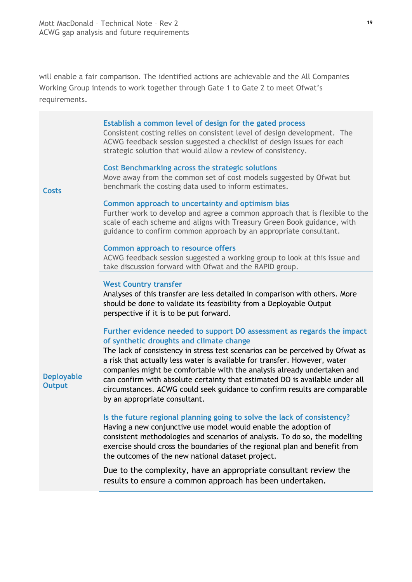will enable a fair comparison. The identified actions are achievable and the All Companies Working Group intends to work together through Gate 1 to Gate 2 to meet Ofwat's requirements.

#### **Establish a common level of design for the gated process**

Consistent costing relies on consistent level of design development. The ACWG feedback session suggested a checklist of design issues for each strategic solution that would allow a review of consistency.

#### **Cost Benchmarking across the strategic solutions**

**Costs**

**Deployable Output**

#### Move away from the common set of cost models suggested by Ofwat but benchmark the costing data used to inform estimates.

#### **Common approach to uncertainty and optimism bias**

Further work to develop and agree a common approach that is flexible to the scale of each scheme and aligns with Treasury Green Book guidance, with guidance to confirm common approach by an appropriate consultant.

#### **Common approach to resource offers**

ACWG feedback session suggested a working group to look at this issue and take discussion forward with Ofwat and the RAPID group.

#### **West Country transfer**

Analyses of this transfer are less detailed in comparison with others. More should be done to validate its feasibility from a Deployable Output perspective if it is to be put forward.

#### **Further evidence needed to support DO assessment as regards the impact of synthetic droughts and climate change**

The lack of consistency in stress test scenarios can be perceived by Ofwat as a risk that actually less water is available for transfer. However, water companies might be comfortable with the analysis already undertaken and can confirm with absolute certainty that estimated DO is available under all circumstances. ACWG could seek guidance to confirm results are comparable by an appropriate consultant.

#### **Is the future regional planning going to solve the lack of consistency?**

Having a new conjunctive use model would enable the adoption of consistent methodologies and scenarios of analysis. To do so, the modelling exercise should cross the boundaries of the regional plan and benefit from the outcomes of the new national dataset project.

Due to the complexity, have an appropriate consultant review the results to ensure a common approach has been undertaken.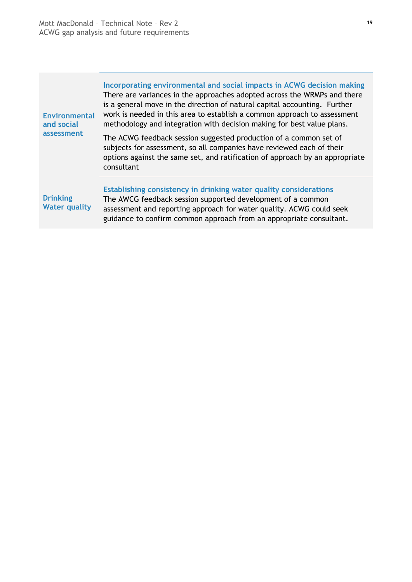| <b>Environmental</b><br>and social      | Incorporating environmental and social impacts in ACWG decision making<br>There are variances in the approaches adopted across the WRMPs and there<br>is a general move in the direction of natural capital accounting. Further<br>work is needed in this area to establish a common approach to assessment<br>methodology and integration with decision making for best value plans. |  |  |
|-----------------------------------------|---------------------------------------------------------------------------------------------------------------------------------------------------------------------------------------------------------------------------------------------------------------------------------------------------------------------------------------------------------------------------------------|--|--|
| assessment                              | The ACWG feedback session suggested production of a common set of<br>subjects for assessment, so all companies have reviewed each of their<br>options against the same set, and ratification of approach by an appropriate<br>consultant                                                                                                                                              |  |  |
| <b>Drinking</b><br><b>Water quality</b> | Establishing consistency in drinking water quality considerations<br>The AWCG feedback session supported development of a common<br>assessment and reporting approach for water quality. ACWG could seek<br>guidance to confirm common approach from an appropriate consultant.                                                                                                       |  |  |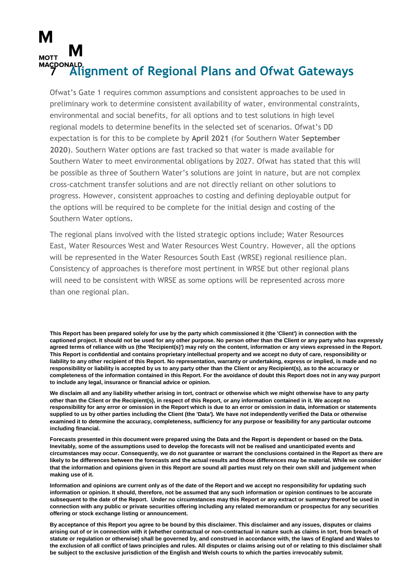# <span id="page-42-0"></span>**MOTT 7 Alignment of Regional Plans and Ofwat Gateways**

Ofwat's Gate 1 requires common assumptions and consistent approaches to be used in preliminary work to determine consistent availability of water, environmental constraints, environmental and social benefits, for all options and to test solutions in high level regional models to determine benefits in the selected set of scenarios. Ofwat's DD expectation is for this to be complete by **April 2021** (for Southern Water **September 2020**). Southern Water options are fast tracked so that water is made available for Southern Water to meet environmental obligations by 2027. Ofwat has stated that this will be possible as three of Southern Water's solutions are joint in nature, but are not complex cross-catchment transfer solutions and are not directly reliant on other solutions to progress. However, consistent approaches to costing and defining deployable output for the options will be required to be complete for the initial design and costing of the Southern Water options**.**

The regional plans involved with the listed strategic options include; Water Resources East, Water Resources West and Water Resources West Country. However, all the options will be represented in the Water Resources South East (WRSE) regional resilience plan. Consistency of approaches is therefore most pertinent in WRSE but other regional plans will need to be consistent with WRSE as some options will be represented across more than one regional plan.

**This Report has been prepared solely for use by the party which commissioned it (the 'Client') in connection with the captioned project. It should not be used for any other purpose. No person other than the Client or any party who has expressly agreed terms of reliance with us (the 'Recipient(s)') may rely on the content, information or any views expressed in the Report. This Report is confidential and contains proprietary intellectual property and we accept no duty of care, responsibility or liability to any other recipient of this Report. No representation, warranty or undertaking, express or implied, is made and no responsibility or liability is accepted by us to any party other than the Client or any Recipient(s), as to the accuracy or completeness of the information contained in this Report. For the avoidance of doubt this Report does not in any way purport to include any legal, insurance or financial advice or opinion.**

**We disclaim all and any liability whether arising in tort, contract or otherwise which we might otherwise have to any party other than the Client or the Recipient(s), in respect of this Report, or any information contained in it. We accept no responsibility for any error or omission in the Report which is due to an error or omission in data, information or statements supplied to us by other parties including the Client (the 'Data'). We have not independently verified the Data or otherwise examined it to determine the accuracy, completeness, sufficiency for any purpose or feasibility for any particular outcome including financial.**

**Forecasts presented in this document were prepared using the Data and the Report is dependent or based on the Data. Inevitably, some of the assumptions used to develop the forecasts will not be realised and unanticipated events and circumstances may occur. Consequently, we do not guarantee or warrant the conclusions contained in the Report as there are likely to be differences between the forecasts and the actual results and those differences may be material. While we consider that the information and opinions given in this Report are sound all parties must rely on their own skill and judgement when making use of it.**

**Information and opinions are current only as of the date of the Report and we accept no responsibility for updating such information or opinion. It should, therefore, not be assumed that any such information or opinion continues to be accurate subsequent to the date of the Report. Under no circumstances may this Report or any extract or summary thereof be used in connection with any public or private securities offering including any related memorandum or prospectus for any securities offering or stock exchange listing or announcement.**

**By acceptance of this Report you agree to be bound by this disclaimer. This disclaimer and any issues, disputes or claims arising out of or in connection with it (whether contractual or non-contractual in nature such as claims in tort, from breach of statute or regulation or otherwise) shall be governed by, and construed in accordance with, the laws of England and Wales to the exclusion of all conflict of laws principles and rules. All disputes or claims arising out of or relating to this disclaimer shall be subject to the exclusive jurisdiction of the English and Welsh courts to which the parties irrevocably submit.**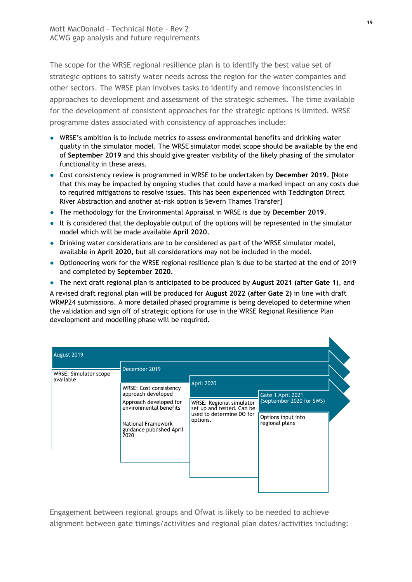The scope for the WRSE regional resilience plan is to identify the best value set of strategic options to satisfy water needs across the region for the water companies and other sectors. The WRSE plan involves tasks to identify and remove inconsistencies in approaches to development and assessment of the strategic schemes. The time available for the development of consistent approaches for the strategic options is limited. WRSE programme dates associated with consistency of approaches include:

- WRSE's ambition is to include metrics to assess environmental benefits and drinking water quality in the simulator model. The WRSE simulator model scope should be available by the end of **September 2019** and this should give greater visibility of the likely phasing of the simulator functionality in these areas.
- Cost consistency review is programmed in WRSE to be undertaken by **December 2019.** [Note that this may be impacted by ongoing studies that could have a marked impact on any costs due to required mitigations to resolve issues. This has been experienced with Teddington Direct River Abstraction and another at-risk option is Severn Thames Transfer]
- The methodology for the Environmental Appraisal in WRSE is due by **December 2019**.
- It is considered that the deployable output of the options will be represented in the simulator model which will be made available **April 2020.**
- Drinking water considerations are to be considered as part of the WRSE simulator model, available in **April 2020,** but all considerations may not be included in the model.
- Optioneering work for the WRSE regional resilience plan is due to be started at the end of 2019 and completed by **September 2020.**
- The next draft regional plan is anticipated to be produced by **August 2021 (after Gate 1)**, and

A revised draft regional plan will be produced for **August 2022 (after Gate 2)** in line with draft WRMP24 submissions. A more detailed phased programme is being developed to determine when the validation and sign off of strategic options for use in the WRSE Regional Resilience Plan development and modelling phase will be required.

| August 2019                        |                                                                                                                                                                             |                                                                                                                    |                                                                                       |  |
|------------------------------------|-----------------------------------------------------------------------------------------------------------------------------------------------------------------------------|--------------------------------------------------------------------------------------------------------------------|---------------------------------------------------------------------------------------|--|
| WRSE: Simulator scope<br>available | December 2019<br>WRSE: Cost consistency<br>approach developed<br>Approach developed for<br>environmental benefits<br>National Framework<br>guidance published April<br>2020 | April 2020<br><b>WRSE: Regional simulator</b><br>set up and tested. Can be<br>used to determine DO for<br>options. | Gate 1 April 2021<br>(September 2020 for SWS)<br>Options input into<br>regional plans |  |

Engagement between regional groups and Ofwat is likely to be needed to achieve alignment between gate timings/activities and regional plan dates/activities including: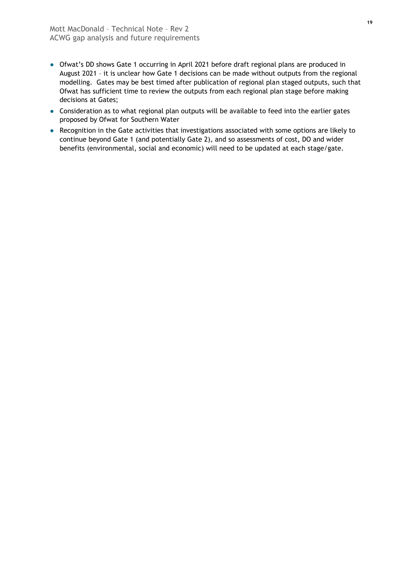- Ofwat's DD shows Gate 1 occurring in April 2021 before draft regional plans are produced in August 2021 – it is unclear how Gate 1 decisions can be made without outputs from the regional modelling. Gates may be best timed after publication of regional plan staged outputs, such that Ofwat has sufficient time to review the outputs from each regional plan stage before making decisions at Gates;
- Consideration as to what regional plan outputs will be available to feed into the earlier gates proposed by Ofwat for Southern Water
- Recognition in the Gate activities that investigations associated with some options are likely to continue beyond Gate 1 (and potentially Gate 2), and so assessments of cost, DO and wider benefits (environmental, social and economic) will need to be updated at each stage/gate.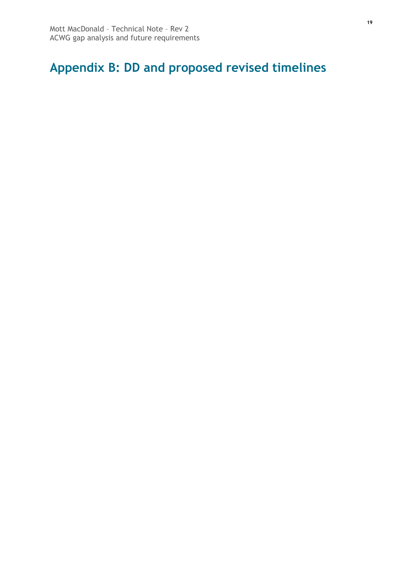### <span id="page-45-0"></span>**Appendix B: DD and proposed revised timelines**